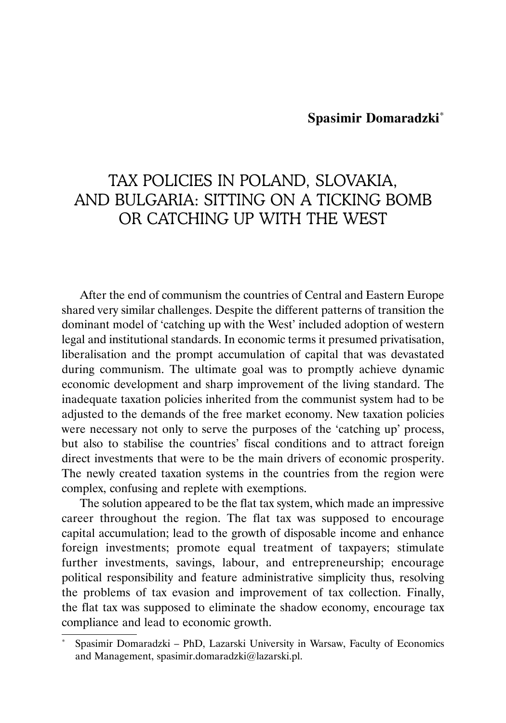# **Spasimir Domaradzki**\*

# TAX POLICIES IN POLAND, SLOVAKIA, AND BULGARIA: SITTING ON A TICKING BOMB OR CATCHING UP WITH THE WEST

After the end of communism the countries of Central and Eastern Europe shared very similar challenges. Despite the different patterns of transition the dominant model of 'catching up with the West' included adoption of western legal and institutional standards. In economic terms it presumed privatisation, liberalisation and the prompt accumulation of capital that was devastated during communism. The ultimate goal was to promptly achieve dynamic economic development and sharp improvement of the living standard. The inadequate taxation policies inherited from the communist system had to be adjusted to the demands of the free market economy. New taxation policies were necessary not only to serve the purposes of the 'catching up' process, but also to stabilise the countries' fiscal conditions and to attract foreign direct investments that were to be the main drivers of economic prosperity. The newly created taxation systems in the countries from the region were complex, confusing and replete with exemptions.

The solution appeared to be the flat tax system, which made an impressive career throughout the region. The flat tax was supposed to encourage capital accumulation; lead to the growth of disposable income and enhance foreign investments; promote equal treatment of taxpayers; stimulate further investments, savings, labour, and entrepreneurship; encourage political responsibility and feature administrative simplicity thus, resolving the problems of tax evasion and improvement of tax collection. Finally, the flat tax was supposed to eliminate the shadow economy, encourage tax compliance and lead to economic growth.

<sup>\*</sup> Spasimir Domaradzki – PhD, Lazarski University in Warsaw, Faculty of Economics and Management, spasimir.domaradzki@lazarski.pl.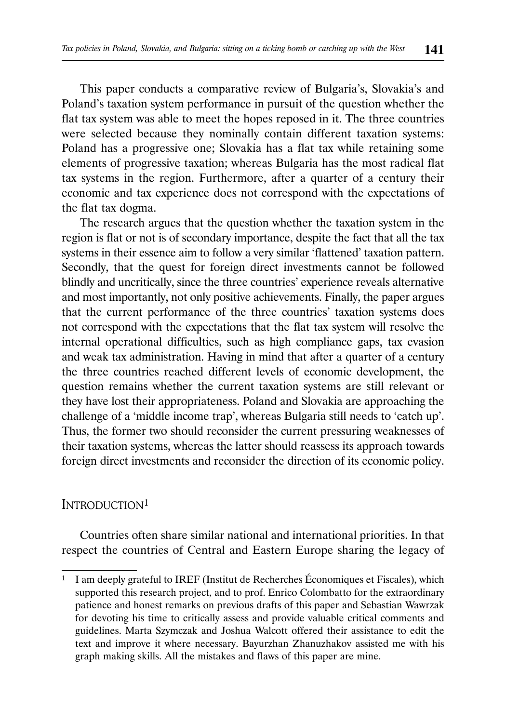This paper conducts a comparative review of Bulgaria's, Slovakia's and Poland's taxation system performance in pursuit of the question whether the flat tax system was able to meet the hopes reposed in it. The three countries were selected because they nominally contain different taxation systems: Poland has a progressive one; Slovakia has a flat tax while retaining some elements of progressive taxation; whereas Bulgaria has the most radical flat tax systems in the region. Furthermore, after a quarter of a century their economic and tax experience does not correspond with the expectations of the flat tax dogma.

The research argues that the question whether the taxation system in the region is flat or not is of secondary importance, despite the fact that all the tax systems in their essence aim to follow a very similar 'flattened' taxation pattern. Secondly, that the quest for foreign direct investments cannot be followed blindly and uncritically, since the three countries' experience reveals alternative and most importantly, not only positive achievements. Finally, the paper argues that the current performance of the three countries' taxation systems does not correspond with the expectations that the flat tax system will resolve the internal operational difficulties, such as high compliance gaps, tax evasion and weak tax administration. Having in mind that after a quarter of a century the three countries reached different levels of economic development, the question remains whether the current taxation systems are still relevant or they have lost their appropriateness. Poland and Slovakia are approaching the challenge of a 'middle income trap', whereas Bulgaria still needs to 'catch up'. Thus, the former two should reconsider the current pressuring weaknesses of their taxation systems, whereas the latter should reassess its approach towards foreign direct investments and reconsider the direction of its economic policy.

# INTRODUCTION<sup>1</sup>

Countries often share similar national and international priorities. In that respect the countries of Central and Eastern Europe sharing the legacy of

<sup>1</sup> I am deeply grateful to IREF (Institut de Recherches Économiques et Fiscales), which supported this research project, and to prof. Enrico Colombatto for the extraordinary patience and honest remarks on previous drafts of this paper and Sebastian Wawrzak for devoting his time to critically assess and provide valuable critical comments and guidelines. Marta Szymczak and Joshua Walcott offered their assistance to edit the text and improve it where necessary. Bayurzhan Zhanuzhakov assisted me with his graph making skills. All the mistakes and flaws of this paper are mine.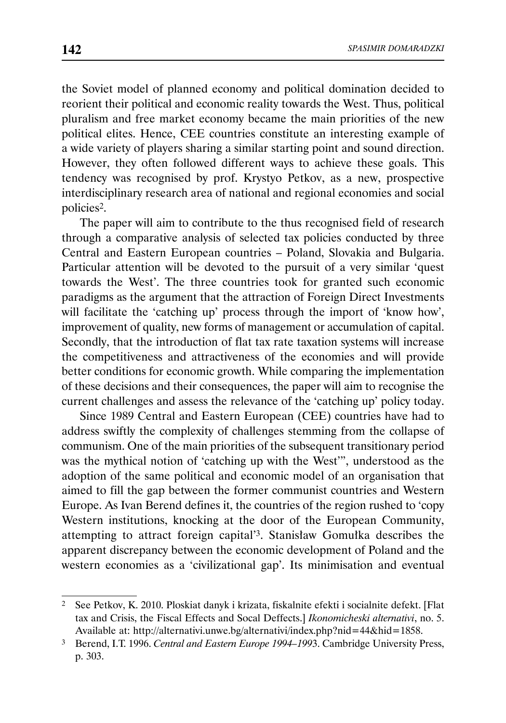the Soviet model of planned economy and political domination decided to reorient their political and economic reality towards the West. Thus, political pluralism and free market economy became the main priorities of the new political elites. Hence, CEE countries constitute an interesting example of a wide variety of players sharing a similar starting point and sound direction. However, they often followed different ways to achieve these goals. This tendency was recognised by prof. Krystyo Petkov, as a new, prospective interdisciplinary research area of national and regional economies and social policies2.

The paper will aim to contribute to the thus recognised field of research through a comparative analysis of selected tax policies conducted by three Central and Eastern European countries – Poland, Slovakia and Bulgaria. Particular attention will be devoted to the pursuit of a very similar 'quest towards the West'. The three countries took for granted such economic paradigms as the argument that the attraction of Foreign Direct Investments will facilitate the 'catching up' process through the import of 'know how', improvement of quality, new forms of management or accumulation of capital. Secondly, that the introduction of flat tax rate taxation systems will increase the competitiveness and attractiveness of the economies and will provide better conditions for economic growth. While comparing the implementation of these decisions and their consequences, the paper will aim to recognise the current challenges and assess the relevance of the 'catching up' policy today.

Since 1989 Central and Eastern European (CEE) countries have had to address swiftly the complexity of challenges stemming from the collapse of communism. One of the main priorities of the subsequent transitionary period was the mythical notion of 'catching up with the West'", understood as the adoption of the same political and economic model of an organisation that aimed to fill the gap between the former communist countries and Western Europe. As Ivan Berend defines it, the countries of the region rushed to 'copy Western institutions, knocking at the door of the European Community, attempting to attract foreign capital'3. Stanisław Gomułka describes the apparent discrepancy between the economic development of Poland and the western economies as a 'civilizational gap'. Its minimisation and eventual

<sup>2</sup> See Petkov, K. 2010. Ploskiat danyk i krizata, fiskalnite efekti i socialnite defekt. [Flat tax and Crisis, the Fiscal Effects and Socal Deffects.] *Ikonomicheski alternativi*, no. 5. Available at: http://alternativi.unwe.bg/alternativi/index.php?nid=44&hid=1858.

<sup>3</sup> Berend, I.T. 1996. *Central and Eastern Europe 1994–199*3. Cambridge University Press, p. 303.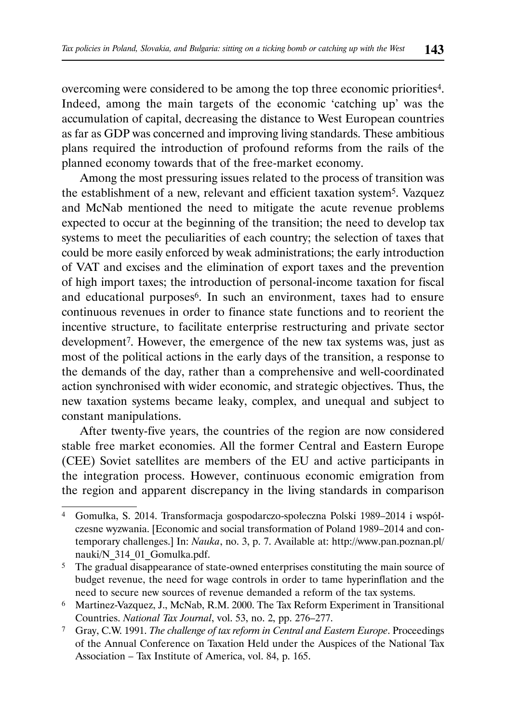overcoming were considered to be among the top three economic priorities4. Indeed, among the main targets of the economic 'catching up' was the accumulation of capital, decreasing the distance to West European countries as far as GDP was concerned and improving living standards. These ambitious plans required the introduction of profound reforms from the rails of the planned economy towards that of the free-market economy.

Among the most pressuring issues related to the process of transition was the establishment of a new, relevant and efficient taxation system5. Vazquez and McNab mentioned the need to mitigate the acute revenue problems expected to occur at the beginning of the transition; the need to develop tax systems to meet the peculiarities of each country; the selection of taxes that could be more easily enforced by weak administrations; the early introduction of VAT and excises and the elimination of export taxes and the prevention of high import taxes; the introduction of personal-income taxation for fiscal and educational purposes<sup>6</sup>. In such an environment, taxes had to ensure continuous revenues in order to finance state functions and to reorient the incentive structure, to facilitate enterprise restructuring and private sector development7. However, the emergence of the new tax systems was, just as most of the political actions in the early days of the transition, a response to the demands of the day, rather than a comprehensive and well-coordinated action synchronised with wider economic, and strategic objectives. Thus, the new taxation systems became leaky, complex, and unequal and subject to constant manipulations.

After twenty-five years, the countries of the region are now considered stable free market economies. All the former Central and Eastern Europe (CEE) Soviet satellites are members of the EU and active participants in the integration process. However, continuous economic emigration from the region and apparent discrepancy in the living standards in comparison

<sup>4</sup> Gomułka, S. 2014. Transformacja gospodarczo-społeczna Polski 1989–2014 i współczesne wyzwania. [Economic and social transformation of Poland 1989–2014 and contemporary challenges.] In: *Nauka*, no. 3, p. 7. Available at: http://www.pan.poznan.pl/ nauki/N\_314\_01\_Gomulka.pdf.

<sup>&</sup>lt;sup>5</sup> The gradual disappearance of state-owned enterprises constituting the main source of budget revenue, the need for wage controls in order to tame hyperinflation and the need to secure new sources of revenue demanded a reform of the tax systems.

<sup>6</sup> Martinez-Vazquez, J., McNab, R.M. 2000. The Tax Reform Experiment in Transitional Countries. *National Tax Journal*, vol. 53, no. 2, pp. 276–277.

<sup>7</sup> Gray, C.W. 1991. *The challenge of tax reform in Central and Eastern Europe*. Proceedings of the Annual Conference on Taxation Held under the Auspices of the National Tax Association – Tax Institute of America, vol. 84, p. 165.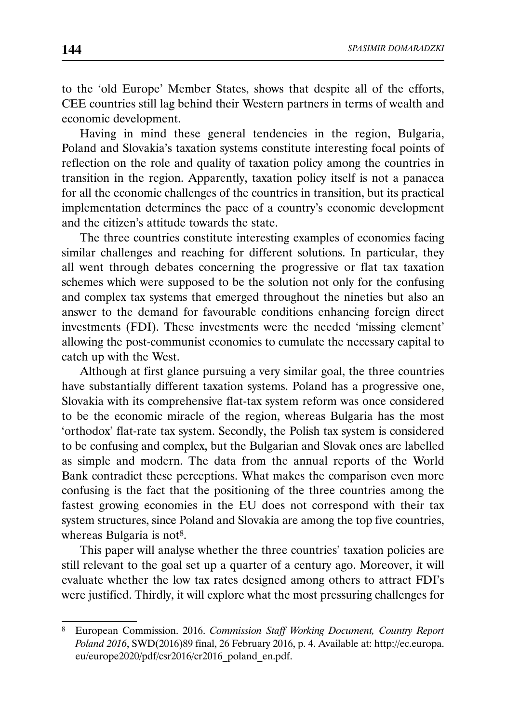to the 'old Europe' Member States, shows that despite all of the efforts, CEE countries still lag behind their Western partners in terms of wealth and economic development.

Having in mind these general tendencies in the region, Bulgaria, Poland and Slovakia's taxation systems constitute interesting focal points of reflection on the role and quality of taxation policy among the countries in transition in the region. Apparently, taxation policy itself is not a panacea for all the economic challenges of the countries in transition, but its practical implementation determines the pace of a country's economic development and the citizen's attitude towards the state.

The three countries constitute interesting examples of economies facing similar challenges and reaching for different solutions. In particular, they all went through debates concerning the progressive or flat tax taxation schemes which were supposed to be the solution not only for the confusing and complex tax systems that emerged throughout the nineties but also an answer to the demand for favourable conditions enhancing foreign direct investments (FDI). These investments were the needed 'missing element' allowing the post-communist economies to cumulate the necessary capital to catch up with the West.

Although at first glance pursuing a very similar goal, the three countries have substantially different taxation systems. Poland has a progressive one, Slovakia with its comprehensive flat-tax system reform was once considered to be the economic miracle of the region, whereas Bulgaria has the most 'orthodox' flat-rate tax system. Secondly, the Polish tax system is considered to be confusing and complex, but the Bulgarian and Slovak ones are labelled as simple and modern. The data from the annual reports of the World Bank contradict these perceptions. What makes the comparison even more confusing is the fact that the positioning of the three countries among the fastest growing economies in the EU does not correspond with their tax system structures, since Poland and Slovakia are among the top five countries, whereas Bulgaria is not<sup>8</sup>.

This paper will analyse whether the three countries' taxation policies are still relevant to the goal set up a quarter of a century ago. Moreover, it will evaluate whether the low tax rates designed among others to attract FDI's were justified. Thirdly, it will explore what the most pressuring challenges for

<sup>8</sup> European Commission. 2016. *Commission Staff Working Document, Country Report Poland 2016*, SWD(2016)89 final, 26 February 2016, p. 4. Available at: http://ec.europa. eu/europe2020/pdf/csr2016/cr2016\_poland\_en.pdf.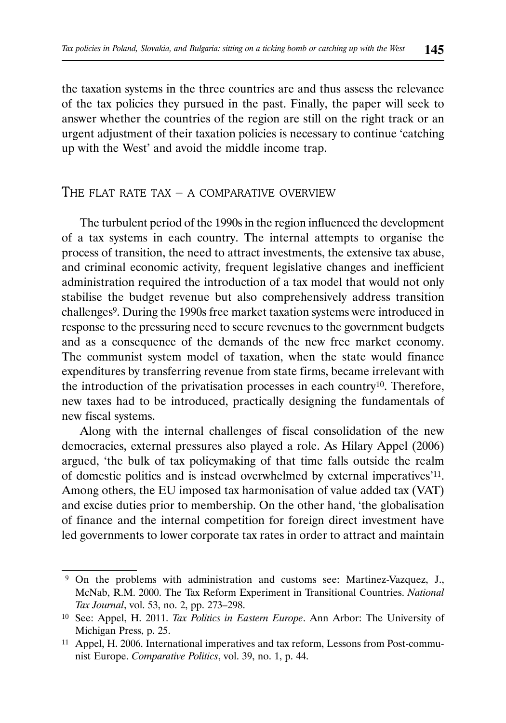the taxation systems in the three countries are and thus assess the relevance of the tax policies they pursued in the past. Finally, the paper will seek to answer whether the countries of the region are still on the right track or an urgent adjustment of their taxation policies is necessary to continue 'catching up with the West' and avoid the middle income trap.

## THE FLAT RATE TAX – A COMPARATIVE OVERVIEW

The turbulent period of the 1990s in the region influenced the development of a tax systems in each country. The internal attempts to organise the process of transition, the need to attract investments, the extensive tax abuse, and criminal economic activity, frequent legislative changes and inefficient administration required the introduction of a tax model that would not only stabilise the budget revenue but also comprehensively address transition challenges9. During the 1990s free market taxation systems were introduced in response to the pressuring need to secure revenues to the government budgets and as a consequence of the demands of the new free market economy. The communist system model of taxation, when the state would finance expenditures by transferring revenue from state firms, became irrelevant with the introduction of the privatisation processes in each country10. Therefore, new taxes had to be introduced, practically designing the fundamentals of new fiscal systems.

Along with the internal challenges of fiscal consolidation of the new democracies, external pressures also played a role. As Hilary Appel (2006) argued, 'the bulk of tax policymaking of that time falls outside the realm of domestic politics and is instead overwhelmed by external imperatives'11. Among others, the EU imposed tax harmonisation of value added tax (VAT) and excise duties prior to membership. On the other hand, 'the globalisation of finance and the internal competition for foreign direct investment have led governments to lower corporate tax rates in order to attract and maintain

 <sup>9</sup> On the problems with administration and customs see: Martinez-Vazquez, J., McNab, R.M. 2000. The Tax Reform Experiment in Transitional Countries. *National Tax Journal*, vol. 53, no. 2, pp. 273–298.

<sup>10</sup> See: Appel, H. 2011. *Tax Politics in Eastern Europe*. Ann Arbor: The University of Michigan Press, p. 25.

<sup>11</sup> Appel, H. 2006. International imperatives and tax reform, Lessons from Post-communist Europe. *Comparative Politics*, vol. 39, no. 1, p. 44.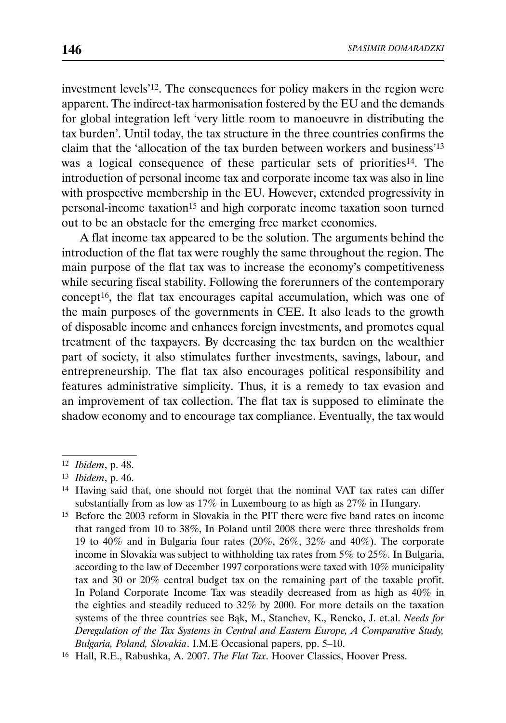investment levels'12. The consequences for policy makers in the region were apparent. The indirect-tax harmonisation fostered by the EU and the demands for global integration left 'very little room to manoeuvre in distributing the tax burden'. Until today, the tax structure in the three countries confirms the claim that the 'allocation of the tax burden between workers and business'13 was a logical consequence of these particular sets of priorities<sup>14</sup>. The introduction of personal income tax and corporate income tax was also in line with prospective membership in the EU. However, extended progressivity in personal-income taxation15 and high corporate income taxation soon turned out to be an obstacle for the emerging free market economies.

A flat income tax appeared to be the solution. The arguments behind the introduction of the flat tax were roughly the same throughout the region. The main purpose of the flat tax was to increase the economy's competitiveness while securing fiscal stability. Following the forerunners of the contemporary concept16, the flat tax encourages capital accumulation, which was one of the main purposes of the governments in CEE. It also leads to the growth of disposable income and enhances foreign investments, and promotes equal treatment of the taxpayers. By decreasing the tax burden on the wealthier part of society, it also stimulates further investments, savings, labour, and entrepreneurship. The flat tax also encourages political responsibility and features administrative simplicity. Thus, it is a remedy to tax evasion and an improvement of tax collection. The flat tax is supposed to eliminate the shadow economy and to encourage tax compliance. Eventually, the tax would

<sup>12</sup> *Ibidem*, p. 48.

<sup>13</sup> *Ibidem*, p. 46.

<sup>14</sup> Having said that, one should not forget that the nominal VAT tax rates can differ substantially from as low as 17% in Luxembourg to as high as 27% in Hungary.

<sup>15</sup> Before the 2003 reform in Slovakia in the PIT there were five band rates on income that ranged from 10 to 38%, In Poland until 2008 there were three thresholds from 19 to 40% and in Bulgaria four rates  $(20\%, 26\%, 32\%$  and  $40\%)$ . The corporate income in Slovakia was subject to withholding tax rates from 5% to 25%. In Bulgaria, according to the law of December 1997 corporations were taxed with 10% municipality tax and 30 or 20% central budget tax on the remaining part of the taxable profit. In Poland Corporate Income Tax was steadily decreased from as high as 40% in the eighties and steadily reduced to 32% by 2000. For more details on the taxation systems of the three countries see Bąk, M., Stanchev, K., Rencko, J. et.al. *Needs for Deregulation of the Tax Systems in Central and Eastern Europe, A Comparative Study, Bulgaria, Poland, Slovakia*. I.M.E Occasional papers, pp. 5–10.

<sup>16</sup> Hall, R.E., Rabushka, A. 2007. *The Flat Tax*. Hoover Classics, Hoover Press.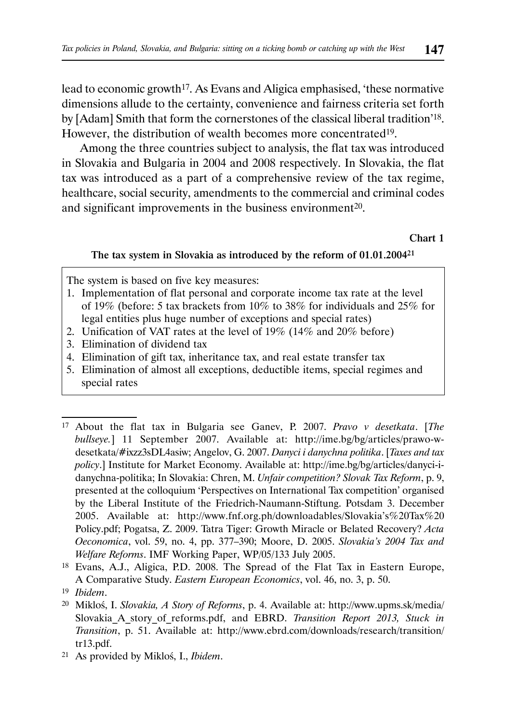lead to economic growth<sup>17</sup>. As Evans and Aligica emphasised, 'these normative dimensions allude to the certainty, convenience and fairness criteria set forth by [Adam] Smith that form the cornerstones of the classical liberal tradition'18. However, the distribution of wealth becomes more concentrated19.

Among the three countries subject to analysis, the flat tax was introduced in Slovakia and Bulgaria in 2004 and 2008 respectively. In Slovakia, the flat tax was introduced as a part of a comprehensive review of the tax regime, healthcare, social security, amendments to the commercial and criminal codes and significant improvements in the business environment<sup>20</sup>.

Chart 1

#### The tax system in Slovakia as introduced by the reform of 01.01.200421

The system is based on five key measures:

- 1. Implementation of flat personal and corporate income tax rate at the level of 19% (before: 5 tax brackets from  $10\%$  to 38% for individuals and 25% for legal entities plus huge number of exceptions and special rates)
- 2. Unification of VAT rates at the level of 19% (14% and 20% before)
- 3. Elimination of dividend tax
- 4. Elimination of gift tax, inheritance tax, and real estate transfer tax
- 5. Elimination of almost all exceptions, deductible items, special regimes and special rates

21 As provided by Mikloś, I., *Ibidem*.

<sup>17</sup> About the flat tax in Bulgaria see Ganev, P. 2007. *Pravo v desetkata*. [*The bullseye.*] 11 September 2007. Available at: http://ime.bg/bg/articles/prawo-wdesetkata/#ixzz3sDL4asiw; Angelov, G. 2007. *Danyci i danychna politika*. [*Taxes and tax policy*.] Institute for Market Economy. Available at: http://ime.bg/bg/articles/danyci-idanychna-politika; In Slovakia: Chren, M. *Unfair competition? Slovak Tax Reform*, p. 9, presented at the colloquium 'Perspectives on International Tax competition' organised by the Liberal Institute of the Friedrich-Naumann-Stiftung. Potsdam 3. December 2005. Available at: http://www.fnf.org.ph/downloadables/Slovakia's%20Tax%20 Policy.pdf; Pogatsa, Z. 2009. Tatra Tiger: Growth Miracle or Belated Recovery? *Acta Oeconomica*, vol. 59, no. 4, pp. 377–390; Moore, D. 2005. *Slovakia's 2004 Tax and Welfare Reforms*. IMF Working Paper, WP/05/133 July 2005.

<sup>18</sup> Evans, A.J., Aligica, P.D. 2008. The Spread of the Flat Tax in Eastern Europe, A Comparative Study. *Eastern European Economics*, vol. 46, no. 3, p. 50.

<sup>19</sup> *Ibidem*.

<sup>20</sup> Mikloś, I. *Slovakia, A Story of Reforms*, p. 4. Available at: http://www.upms.sk/media/ Slovakia\_A\_story\_of\_reforms.pdf, and EBRD. *Transition Report 2013, Stuck in Transition*, p. 51. Available at: http://www.ebrd.com/downloads/research/transition/ tr13.pdf.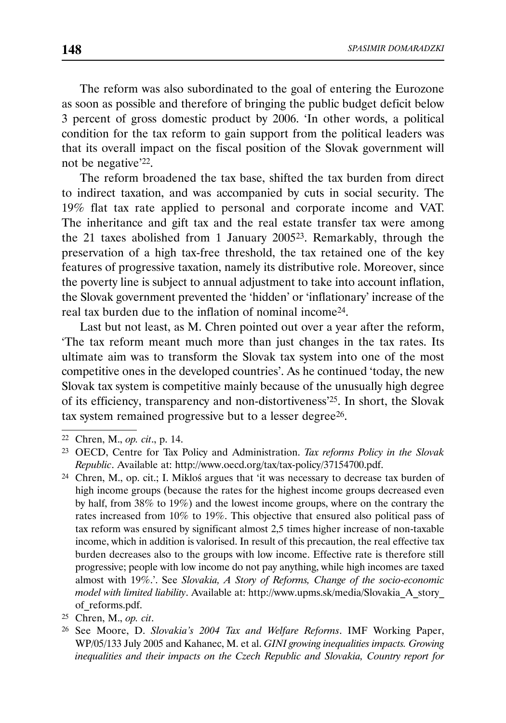The reform was also subordinated to the goal of entering the Eurozone as soon as possible and therefore of bringing the public budget deficit below 3 percent of gross domestic product by 2006. 'In other words, a political condition for the tax reform to gain support from the political leaders was that its overall impact on the fiscal position of the Slovak government will not be negative'22.

The reform broadened the tax base, shifted the tax burden from direct to indirect taxation, and was accompanied by cuts in social security. The 19% flat tax rate applied to personal and corporate income and VAT. The inheritance and gift tax and the real estate transfer tax were among the 21 taxes abolished from 1 January 200523. Remarkably, through the preservation of a high tax-free threshold, the tax retained one of the key features of progressive taxation, namely its distributive role. Moreover, since the poverty line is subject to annual adjustment to take into account inflation, the Slovak government prevented the 'hidden' or 'inflationary' increase of the real tax burden due to the inflation of nominal income24.

Last but not least, as M. Chren pointed out over a year after the reform, 'The tax reform meant much more than just changes in the tax rates. Its ultimate aim was to transform the Slovak tax system into one of the most competitive ones in the developed countries'. As he continued 'today, the new Slovak tax system is competitive mainly because of the unusually high degree of its efficiency, transparency and non-distortiveness'25. In short, the Slovak tax system remained progressive but to a lesser degree<sup>26</sup>.

<sup>22</sup> Chren, M., *op. cit*., p. 14.

<sup>23</sup> OECD, Centre for Tax Policy and Administration. *Tax reforms Policy in the Slovak Republic*. Available at: http://www.oecd.org/tax/tax-policy/37154700.pdf.

<sup>24</sup> Chren, M., op. cit.; I. Mikloś argues that 'it was necessary to decrease tax burden of high income groups (because the rates for the highest income groups decreased even by half, from 38% to 19%) and the lowest income groups, where on the contrary the rates increased from 10% to 19%. This objective that ensured also political pass of tax reform was ensured by significant almost 2,5 times higher increase of non-taxable income, which in addition is valorised. In result of this precaution, the real effective tax burden decreases also to the groups with low income. Effective rate is therefore still progressive; people with low income do not pay anything, while high incomes are taxed almost with 19%.'. See *Slovakia, A Story of Reforms, Change of the socio-economic model with limited liability*. Available at: http://www.upms.sk/media/Slovakia\_A\_story\_ of\_reforms.pdf.

<sup>25</sup> Chren, M., *op. cit*.

<sup>26</sup> See Moore, D. *Slovakia's 2004 Tax and Welfare Reforms*. IMF Working Paper, WP/05/133 July 2005 and Kahanec, M. et al. *GINI growing inequalities impacts. Growing inequalities and their impacts on the Czech Republic and Slovakia, Country report for*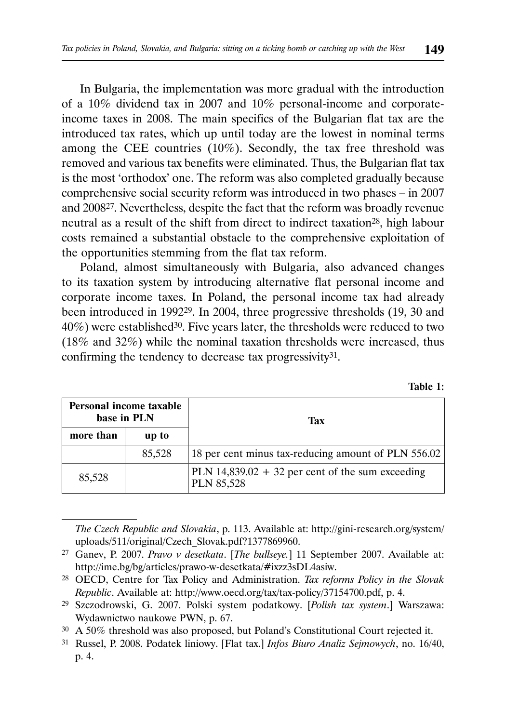In Bulgaria, the implementation was more gradual with the introduction of a 10% dividend tax in 2007 and 10% personal-income and corporateincome taxes in 2008. The main specifics of the Bulgarian flat tax are the introduced tax rates, which up until today are the lowest in nominal terms among the CEE countries (10%). Secondly, the tax free threshold was removed and various tax benefits were eliminated. Thus, the Bulgarian flat tax is the most 'orthodox' one. The reform was also completed gradually because comprehensive social security reform was introduced in two phases – in 2007 and 200827. Nevertheless, despite the fact that the reform was broadly revenue neutral as a result of the shift from direct to indirect taxation<sup>28</sup>, high labour costs remained a substantial obstacle to the comprehensive exploitation of the opportunities stemming from the flat tax reform.

Poland, almost simultaneously with Bulgaria, also advanced changes to its taxation system by introducing alternative flat personal income and corporate income taxes. In Poland, the personal income tax had already been introduced in 199229. In 2004, three progressive thresholds (19, 30 and 40%) were established30. Five years later, the thresholds were reduced to two (18% and 32%) while the nominal taxation thresholds were increased, thus confirming the tendency to decrease tax progressivity31.

| Personal income taxable<br>base in PLN |        | Tax                                                                     |
|----------------------------------------|--------|-------------------------------------------------------------------------|
| more than                              | up to  |                                                                         |
|                                        | 85,528 | 18 per cent minus tax-reducing amount of PLN 556.02                     |
| 85,528                                 |        | PLN $14,839.02 + 32$ per cent of the sum exceeding<br><b>PLN 85,528</b> |

*The Czech Republic and Slovakia*, p. 113. Available at: http://gini-research.org/system/ uploads/511/original/Czech\_Slovak.pdf?1377869960.

| l`able |  |
|--------|--|
|        |  |

<sup>27</sup> Ganev, P. 2007. *Pravo v desetkata*. [*The bullseye.*] 11 September 2007. Available at: http://ime.bg/bg/articles/prawo-w-desetkata/#ixzz3sDL4asiw.

<sup>28</sup> OECD, Centre for Tax Policy and Administration. *Tax reforms Policy in the Slovak Republic*. Available at: http://www.oecd.org/tax/tax-policy/37154700.pdf, p. 4.

<sup>29</sup> Szczodrowski, G. 2007. Polski system podatkowy. [*Polish tax system*.] Warszawa: Wydawnictwo naukowe PWN, p. 67.

<sup>30</sup> A 50% threshold was also proposed, but Poland's Constitutional Court rejected it.

<sup>31</sup> Russel, P. 2008. Podatek liniowy. [Flat tax.] *Infos Biuro Analiz Sejmowych*, no. 16/40, p. 4.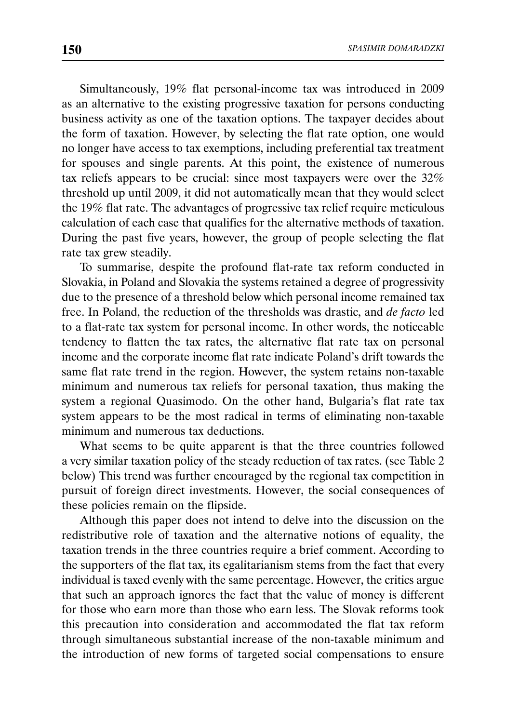Simultaneously, 19% flat personal-income tax was introduced in 2009 as an alternative to the existing progressive taxation for persons conducting business activity as one of the taxation options. The taxpayer decides about the form of taxation. However, by selecting the flat rate option, one would no longer have access to tax exemptions, including preferential tax treatment for spouses and single parents. At this point, the existence of numerous tax reliefs appears to be crucial: since most taxpayers were over the 32% threshold up until 2009, it did not automatically mean that they would select the 19% flat rate. The advantages of progressive tax relief require meticulous calculation of each case that qualifies for the alternative methods of taxation. During the past five years, however, the group of people selecting the flat rate tax grew steadily.

To summarise, despite the profound flat-rate tax reform conducted in Slovakia, in Poland and Slovakia the systems retained a degree of progressivity due to the presence of a threshold below which personal income remained tax free. In Poland, the reduction of the thresholds was drastic, and *de facto* led to a flat-rate tax system for personal income. In other words, the noticeable tendency to flatten the tax rates, the alternative flat rate tax on personal income and the corporate income flat rate indicate Poland's drift towards the same flat rate trend in the region. However, the system retains non-taxable minimum and numerous tax reliefs for personal taxation, thus making the system a regional Quasimodo. On the other hand, Bulgaria's flat rate tax system appears to be the most radical in terms of eliminating non-taxable minimum and numerous tax deductions.

What seems to be quite apparent is that the three countries followed a very similar taxation policy of the steady reduction of tax rates. (see Table 2 below) This trend was further encouraged by the regional tax competition in pursuit of foreign direct investments. However, the social consequences of these policies remain on the flipside.

Although this paper does not intend to delve into the discussion on the redistributive role of taxation and the alternative notions of equality, the taxation trends in the three countries require a brief comment. According to the supporters of the flat tax, its egalitarianism stems from the fact that every individual is taxed evenly with the same percentage. However, the critics argue that such an approach ignores the fact that the value of money is different for those who earn more than those who earn less. The Slovak reforms took this precaution into consideration and accommodated the flat tax reform through simultaneous substantial increase of the non-taxable minimum and the introduction of new forms of targeted social compensations to ensure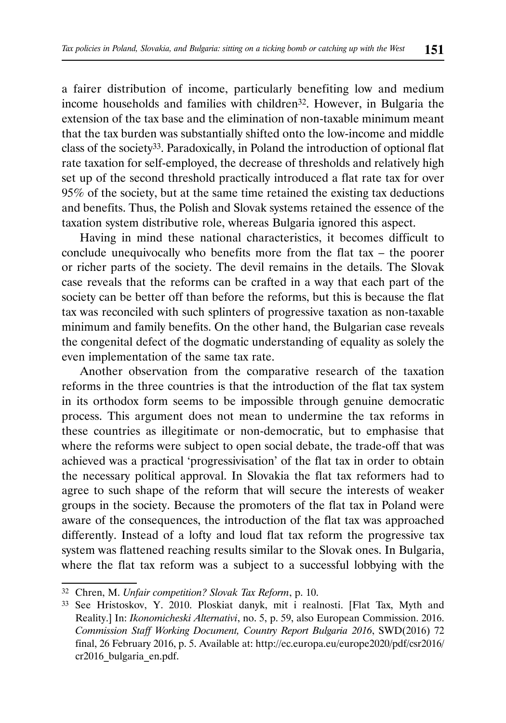a fairer distribution of income, particularly benefiting low and medium income households and families with children32. However, in Bulgaria the extension of the tax base and the elimination of non-taxable minimum meant that the tax burden was substantially shifted onto the low-income and middle class of the society33. Paradoxically, in Poland the introduction of optional flat rate taxation for self-employed, the decrease of thresholds and relatively high set up of the second threshold practically introduced a flat rate tax for over 95% of the society, but at the same time retained the existing tax deductions and benefits. Thus, the Polish and Slovak systems retained the essence of the taxation system distributive role, whereas Bulgaria ignored this aspect.

Having in mind these national characteristics, it becomes difficult to conclude unequivocally who benefits more from the flat tax – the poorer or richer parts of the society. The devil remains in the details. The Slovak case reveals that the reforms can be crafted in a way that each part of the society can be better off than before the reforms, but this is because the flat tax was reconciled with such splinters of progressive taxation as non-taxable minimum and family benefits. On the other hand, the Bulgarian case reveals the congenital defect of the dogmatic understanding of equality as solely the even implementation of the same tax rate.

Another observation from the comparative research of the taxation reforms in the three countries is that the introduction of the flat tax system in its orthodox form seems to be impossible through genuine democratic process. This argument does not mean to undermine the tax reforms in these countries as illegitimate or non-democratic, but to emphasise that where the reforms were subject to open social debate, the trade-off that was achieved was a practical 'progressivisation' of the flat tax in order to obtain the necessary political approval. In Slovakia the flat tax reformers had to agree to such shape of the reform that will secure the interests of weaker groups in the society. Because the promoters of the flat tax in Poland were aware of the consequences, the introduction of the flat tax was approached differently. Instead of a lofty and loud flat tax reform the progressive tax system was flattened reaching results similar to the Slovak ones. In Bulgaria, where the flat tax reform was a subject to a successful lobbying with the

<sup>32</sup> Chren, M. *Unfair competition? Slovak Tax Reform*, p. 10.

<sup>33</sup> See Hristoskov, Y. 2010. Ploskiat danyk, mit i realnosti. [Flat Tax, Myth and Reality.] In: *Ikonomicheski Alternativi*, no. 5, p. 59, also European Commission. 2016. *Commission Staff Working Document, Country Report Bulgaria 2016*, SWD(2016) 72 final, 26 February 2016, p. 5. Available at: http://ec.europa.eu/europe2020/pdf/csr2016/ cr2016\_bulgaria\_en.pdf.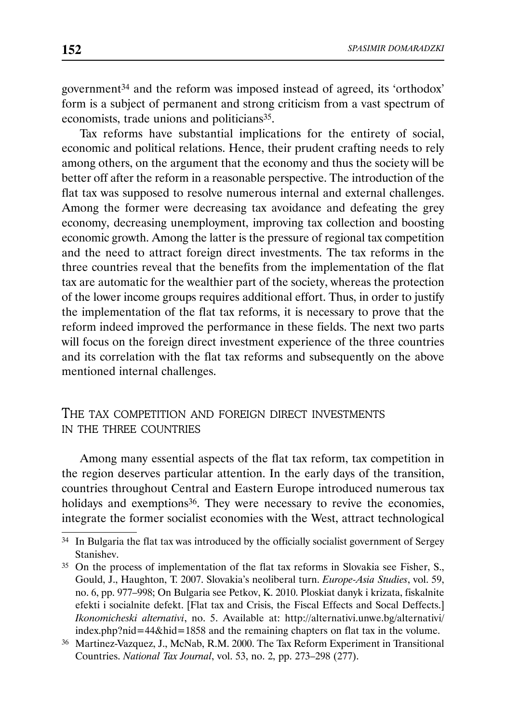government34 and the reform was imposed instead of agreed, its 'orthodox' form is a subject of permanent and strong criticism from a vast spectrum of economists, trade unions and politicians<sup>35</sup>.

Tax reforms have substantial implications for the entirety of social, economic and political relations. Hence, their prudent crafting needs to rely among others, on the argument that the economy and thus the society will be better off after the reform in a reasonable perspective. The introduction of the flat tax was supposed to resolve numerous internal and external challenges. Among the former were decreasing tax avoidance and defeating the grey economy, decreasing unemployment, improving tax collection and boosting economic growth. Among the latter is the pressure of regional tax competition and the need to attract foreign direct investments. The tax reforms in the three countries reveal that the benefits from the implementation of the flat tax are automatic for the wealthier part of the society, whereas the protection of the lower income groups requires additional effort. Thus, in order to justify the implementation of the flat tax reforms, it is necessary to prove that the reform indeed improved the performance in these fields. The next two parts will focus on the foreign direct investment experience of the three countries and its correlation with the flat tax reforms and subsequently on the above mentioned internal challenges.

## THE TAX COMPETITION AND FOREIGN DIRECT INVESTMENTS IN THE THREE COUNTRIES

Among many essential aspects of the flat tax reform, tax competition in the region deserves particular attention. In the early days of the transition, countries throughout Central and Eastern Europe introduced numerous tax holidays and exemptions<sup>36</sup>. They were necessary to revive the economies, integrate the former socialist economies with the West, attract technological

<sup>&</sup>lt;sup>34</sup> In Bulgaria the flat tax was introduced by the officially socialist government of Sergey Stanishev.

<sup>35</sup> On the process of implementation of the flat tax reforms in Slovakia see Fisher, S., Gould, J., Haughton, T. 2007. Slovakia's neoliberal turn. *Europe-Asia Studies*, vol. 59, no. 6, pp. 977–998; On Bulgaria see Petkov, K. 2010. Ploskiat danyk i krizata, fiskalnite efekti i socialnite defekt. [Flat tax and Crisis, the Fiscal Effects and Socal Deffects.] *Ikonomicheski alternativi*, no. 5. Available at: http://alternativi.unwe.bg/alternativi/ index.php?nid=44&hid=1858 and the remaining chapters on flat tax in the volume.

<sup>36</sup> Martinez-Vazquez, J., McNab, R.M. 2000. The Tax Reform Experiment in Transitional Countries. *National Tax Journal*, vol. 53, no. 2, pp. 273–298 (277).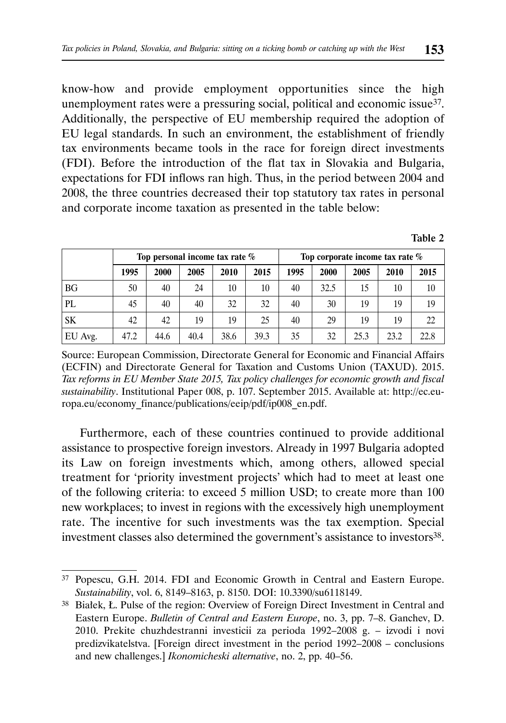know-how and provide employment opportunities since the high unemployment rates were a pressuring social, political and economic issue<sup>37</sup>. Additionally, the perspective of EU membership required the adoption of EU legal standards. In such an environment, the establishment of friendly tax environments became tools in the race for foreign direct investments (FDI). Before the introduction of the flat tax in Slovakia and Bulgaria, expectations for FDI inflows ran high. Thus, in the period between 2004 and 2008, the three countries decreased their top statutory tax rates in personal and corporate income taxation as presented in the table below:

| able |  |
|------|--|
|------|--|

|         | Top personal income tax rate % |      |      |      |      | Top corporate income tax rate $\%$ |      |      |      |      |
|---------|--------------------------------|------|------|------|------|------------------------------------|------|------|------|------|
|         | 1995                           | 2000 | 2005 | 2010 | 2015 | 1995                               | 2000 | 2005 | 2010 | 2015 |
| BG      | 50                             | 40   | 24   | 10   | 10   | 40                                 | 32.5 | 15   | 10   | 10   |
| PL      | 45                             | 40   | 40   | 32   | 32   | 40                                 | 30   | 19   | 19   | 19   |
| SK      | 42                             | 42   | 19   | 19   | 25   | 40                                 | 29   | 19   | 19   | 22   |
| EU Avg. | 47.2                           | 44.6 | 40.4 | 38.6 | 39.3 | 35                                 | 32   | 25.3 | 23.2 | 22.8 |

Source: European Commission, Directorate General for Economic and Financial Affairs (ECFIN) and Directorate General for Taxation and Customs Union (TAXUD). 2015. *Tax reforms in EU Member State 2015, Tax policy challenges for economic growth and fiscal sustainability*. Institutional Paper 008, p. 107. September 2015. Available at: http://ec.europa.eu/economy\_finance/publications/eeip/pdf/ip008\_en.pdf.

Furthermore, each of these countries continued to provide additional assistance to prospective foreign investors. Already in 1997 Bulgaria adopted its Law on foreign investments which, among others, allowed special treatment for 'priority investment projects' which had to meet at least one of the following criteria: to exceed 5 million USD; to create more than 100 new workplaces; to invest in regions with the excessively high unemployment rate. The incentive for such investments was the tax exemption. Special investment classes also determined the government's assistance to investors<sup>38</sup>.

<sup>37</sup> Popescu, G.H. 2014. FDI and Economic Growth in Central and Eastern Europe. *Sustainability*, vol. 6, 8149–8163, p. 8150. DOI: 10.3390/su6118149.

<sup>38</sup> Białek, Ł. Pulse of the region: Overview of Foreign Direct Investment in Central and Eastern Europe. *Bulletin of Central and Eastern Europe*, no. 3, pp. 7–8. Ganchev, D. 2010. Prekite chuzhdestranni investicii za perioda 1992–2008 g. – izvodi i novi predizvikatelstva. [Foreign direct investment in the period 1992–2008 – conclusions and new challenges.] *Ikonomicheski alternative*, no. 2, pp. 40–56.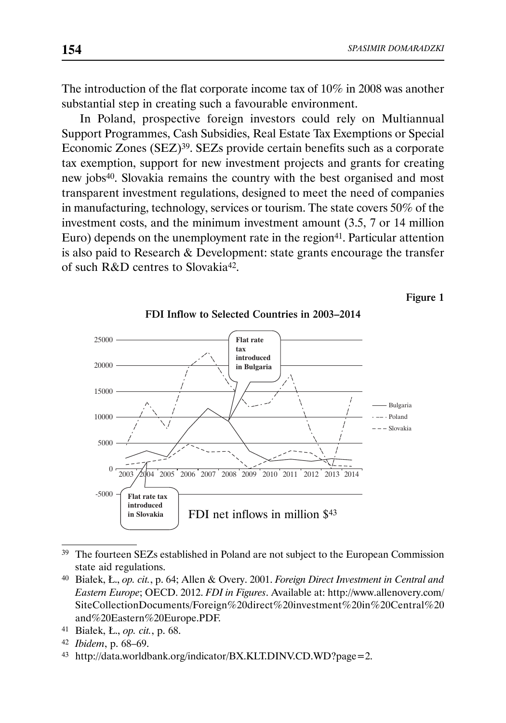The introduction of the flat corporate income tax of 10% in 2008 was another substantial step in creating such a favourable environment.

In Poland, prospective foreign investors could rely on Multiannual Support Programmes, Cash Subsidies, Real Estate Tax Exemptions or Special Economic Zones (SEZ)39. SEZs provide certain benefits such as a corporate tax exemption, support for new investment projects and grants for creating new jobs40. Slovakia remains the country with the best organised and most transparent investment regulations, designed to meet the need of companies in manufacturing, technology, services or tourism. The state covers 50% of the investment costs, and the minimum investment amount (3.5, 7 or 14 million Euro) depends on the unemployment rate in the region $41$ . Particular attention is also paid to Research & Development: state grants encourage the transfer of such R&D centres to Slovakia42.

Figure 1



FDI Inflow to Selected Countries in 2003–2014

state aid regulations.

<sup>39</sup> The fourteen SEZs established in Poland are not subject to the European Commission

<sup>40</sup> Białek, Ł., *op. cit.*, p. 64; Allen & Overy. 2001. *Foreign Direct Investment in Central and Eastern Europe*; OECD. 2012. *FDI in Figures*. Available at: http://www.allenovery.com/ SiteCollectionDocuments/Foreign%20direct%20investment%20in%20Central%20 and%20Eastern%20Europe.PDF.

<sup>41</sup> Białek, Ł., *op. cit.*, p. 68.

<sup>42</sup> *Ibidem*, p. 68–69.

<sup>43</sup> http://data.worldbank.org/indicator/BX.KLT.DINV.CD.WD?page=2.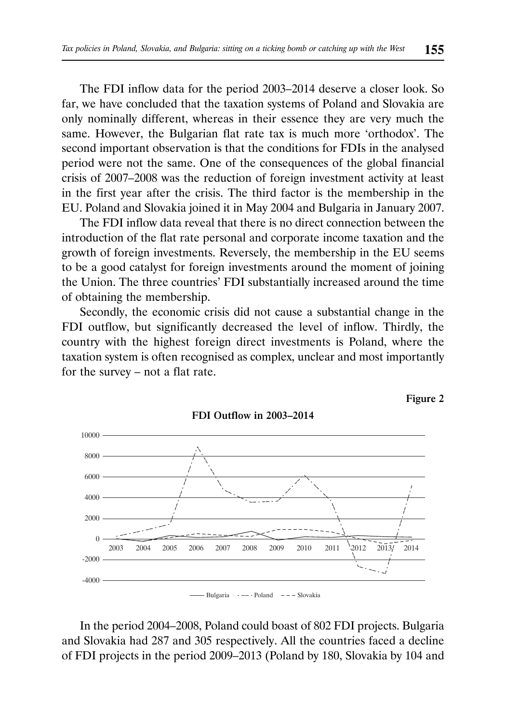The FDI inflow data for the period 2003–2014 deserve a closer look. So far, we have concluded that the taxation systems of Poland and Slovakia are only nominally different, whereas in their essence they are very much the same. However, the Bulgarian flat rate tax is much more 'orthodox'. The second important observation is that the conditions for FDIs in the analysed period were not the same. One of the consequences of the global financial crisis of 2007–2008 was the reduction of foreign investment activity at least in the first year after the crisis. The third factor is the membership in the EU. Poland and Slovakia joined it in May 2004 and Bulgaria in January 2007.

The FDI inflow data reveal that there is no direct connection between the introduction of the flat rate personal and corporate income taxation and the growth of foreign investments. Reversely, the membership in the EU seems to be a good catalyst for foreign investments around the moment of joining the Union. The three countries' FDI substantially increased around the time of obtaining the membership.

Secondly, the economic crisis did not cause a substantial change in the FDI outflow, but significantly decreased the level of inflow. Thirdly, the country with the highest foreign direct investments is Poland, where the taxation system is often recognised as complex, unclear and most importantly for the survey – not a flat rate.

FDI Outflow in 2003–2014





Bulgaria --- Poland  $---$  Slovakia

In the period 2004–2008, Poland could boast of 802 FDI projects. Bulgaria and Slovakia had 287 and 305 respectively. All the countries faced a decline of FDI projects in the period 2009–2013 (Poland by 180, Slovakia by 104 and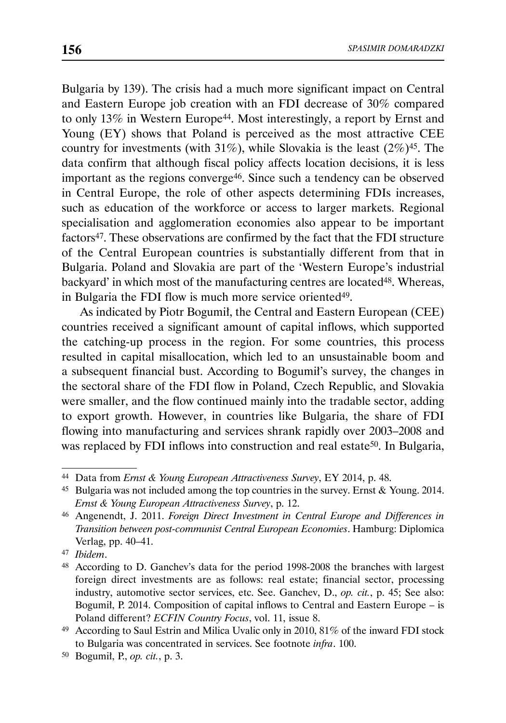Bulgaria by 139). The crisis had a much more significant impact on Central and Eastern Europe job creation with an FDI decrease of 30% compared to only 13% in Western Europe<sup>44</sup>. Most interestingly, a report by Ernst and Young (EY) shows that Poland is perceived as the most attractive CEE country for investments (with  $31\%$ ), while Slovakia is the least  $(2\%)^{45}$ . The data confirm that although fiscal policy affects location decisions, it is less important as the regions converge46. Since such a tendency can be observed in Central Europe, the role of other aspects determining FDIs increases, such as education of the workforce or access to larger markets. Regional specialisation and agglomeration economies also appear to be important factors<sup>47</sup>. These observations are confirmed by the fact that the FDI structure of the Central European countries is substantially different from that in Bulgaria. Poland and Slovakia are part of the 'Western Europe's industrial backyard' in which most of the manufacturing centres are located<sup>48</sup>. Whereas, in Bulgaria the FDI flow is much more service oriented<sup>49</sup>.

As indicated by Piotr Bogumił, the Central and Eastern European (CEE) countries received a significant amount of capital inflows, which supported the catching-up process in the region. For some countries, this process resulted in capital misallocation, which led to an unsustainable boom and a subsequent financial bust. According to Bogumił's survey, the changes in the sectoral share of the FDI flow in Poland, Czech Republic, and Slovakia were smaller, and the flow continued mainly into the tradable sector, adding to export growth. However, in countries like Bulgaria, the share of FDI flowing into manufacturing and services shrank rapidly over 2003–2008 and was replaced by FDI inflows into construction and real estate<sup>50</sup>. In Bulgaria,

<sup>44</sup> Data from *Ernst & Young European Attractiveness Survey*, EY 2014, p. 48.

<sup>45</sup> Bulgaria was not included among the top countries in the survey. Ernst & Young. 2014. *Ernst & Young European Attractiveness Survey*, p. 12.

<sup>46</sup> Angenendt, J. 2011. *Foreign Direct Investment in Central Europe and Differences in Transition between post-communist Central European Economies*. Hamburg: Diplomica Verlag, pp. 40–41.

<sup>47</sup> *Ibidem*.

<sup>48</sup> According to D. Ganchev's data for the period 1998-2008 the branches with largest foreign direct investments are as follows: real estate; financial sector, processing industry, automotive sector services, etc. See. Ganchev, D., *op. cit.*, p. 45; See also: Bogumił, P. 2014. Composition of capital inflows to Central and Eastern Europe – is Poland different? *ECFIN Country Focus*, vol. 11, issue 8.

<sup>49</sup> According to Saul Estrin and Milica Uvalic only in 2010, 81% of the inward FDI stock to Bulgaria was concentrated in services. See footnote *infra*. 100.

<sup>50</sup> Bogumił, P., *op. cit.*, p. 3.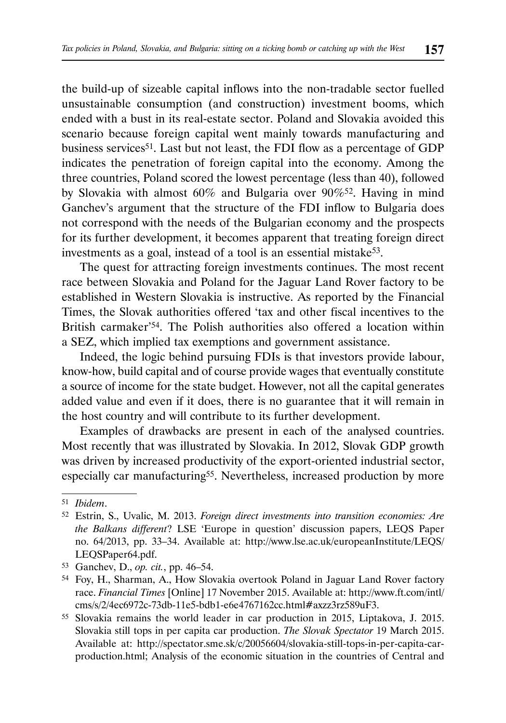the build-up of sizeable capital inflows into the non-tradable sector fuelled unsustainable consumption (and construction) investment booms, which ended with a bust in its real-estate sector. Poland and Slovakia avoided this scenario because foreign capital went mainly towards manufacturing and business services<sup>51</sup>. Last but not least, the FDI flow as a percentage of GDP indicates the penetration of foreign capital into the economy. Among the three countries, Poland scored the lowest percentage (less than 40), followed by Slovakia with almost 60% and Bulgaria over 90%52. Having in mind Ganchev's argument that the structure of the FDI inflow to Bulgaria does not correspond with the needs of the Bulgarian economy and the prospects for its further development, it becomes apparent that treating foreign direct investments as a goal, instead of a tool is an essential mistake<sup>53</sup>.

The quest for attracting foreign investments continues. The most recent race between Slovakia and Poland for the Jaguar Land Rover factory to be established in Western Slovakia is instructive. As reported by the Financial Times, the Slovak authorities offered 'tax and other fiscal incentives to the British carmaker<sup>'54</sup>. The Polish authorities also offered a location within a SEZ, which implied tax exemptions and government assistance.

Indeed, the logic behind pursuing FDIs is that investors provide labour, know-how, build capital and of course provide wages that eventually constitute a source of income for the state budget. However, not all the capital generates added value and even if it does, there is no guarantee that it will remain in the host country and will contribute to its further development.

Examples of drawbacks are present in each of the analysed countries. Most recently that was illustrated by Slovakia. In 2012, Slovak GDP growth was driven by increased productivity of the export-oriented industrial sector, especially car manufacturing<sup>55</sup>. Nevertheless, increased production by more

<sup>51</sup> *Ibidem*.

<sup>52</sup> Estrin, S., Uvalic, M. 2013. *Foreign direct investments into transition economies: Are the Balkans different*? LSE 'Europe in question' discussion papers, LEQS Paper no. 64/2013, pp. 33–34. Available at: http://www.lse.ac.uk/europeanInstitute/LEQS/ LEQSPaper64.pdf.

<sup>53</sup> Ganchev, D., *op. cit.*, pp. 46–54.

<sup>54</sup> Foy, H., Sharman, A., How Slovakia overtook Poland in Jaguar Land Rover factory race. *Financial Times* [Online] 17 November 2015. Available at: http://www.ft.com/intl/ cms/s/2/4ec6972c-73db-11e5-bdb1-e6e4767162cc.html#axzz3rz589uF3.

<sup>55</sup> Slovakia remains the world leader in car production in 2015, Liptakova, J. 2015. Slovakia still tops in per capita car production. *The Slovak Spectator* 19 March 2015. Available at: http://spectator.sme.sk/c/20056604/slovakia-still-tops-in-per-capita-carproduction.html; Analysis of the economic situation in the countries of Central and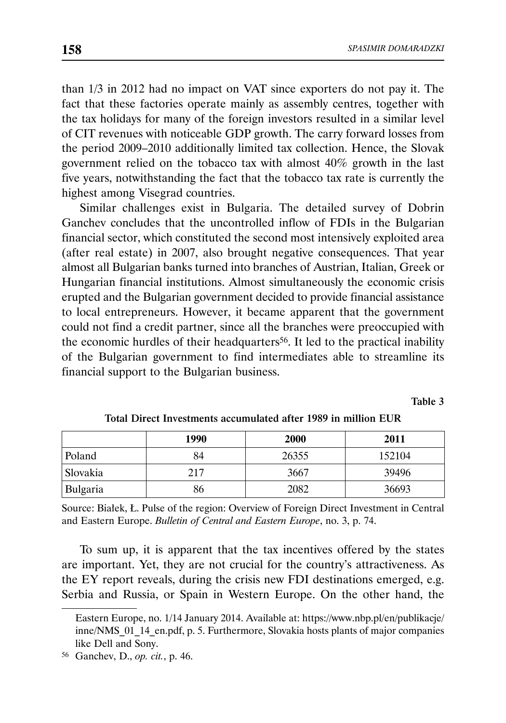than 1/3 in 2012 had no impact on VAT since exporters do not pay it. The fact that these factories operate mainly as assembly centres, together with the tax holidays for many of the foreign investors resulted in a similar level of CIT revenues with noticeable GDP growth. The carry forward losses from the period 2009–2010 additionally limited tax collection. Hence, the Slovak government relied on the tobacco tax with almost 40% growth in the last five years, notwithstanding the fact that the tobacco tax rate is currently the highest among Visegrad countries.

Similar challenges exist in Bulgaria. The detailed survey of Dobrin Ganchev concludes that the uncontrolled inflow of FDIs in the Bulgarian financial sector, which constituted the second most intensively exploited area (after real estate) in 2007, also brought negative consequences. That year almost all Bulgarian banks turned into branches of Austrian, Italian, Greek or Hungarian financial institutions. Almost simultaneously the economic crisis erupted and the Bulgarian government decided to provide financial assistance to local entrepreneurs. However, it became apparent that the government could not find a credit partner, since all the branches were preoccupied with the economic hurdles of their headquarters<sup>56</sup>. It led to the practical inability of the Bulgarian government to find intermediates able to streamline its financial support to the Bulgarian business.

Table 3

|          | 1990 | 2000  | 2011   |
|----------|------|-------|--------|
| Poland   | 84   | 26355 | 152104 |
| Slovakia | 217  | 3667  | 39496  |
| Bulgaria | 86   | 2082  | 36693  |

Total Direct Investments accumulated after 1989 in million EUR

Source: Białek, Ł. Pulse of the region: Overview of Foreign Direct Investment in Central and Eastern Europe. *Bulletin of Central and Eastern Europe*, no. 3, p. 74.

To sum up, it is apparent that the tax incentives offered by the states are important. Yet, they are not crucial for the country's attractiveness. As the EY report reveals, during the crisis new FDI destinations emerged, e.g. Serbia and Russia, or Spain in Western Europe. On the other hand, the

Eastern Europe, no. 1/14 January 2014. Available at: https://www.nbp.pl/en/publikacje/ inne/NMS\_01\_14\_en.pdf, p. 5. Furthermore, Slovakia hosts plants of major companies like Dell and Sony.

<sup>56</sup> Ganchev, D., *op. cit.*, p. 46.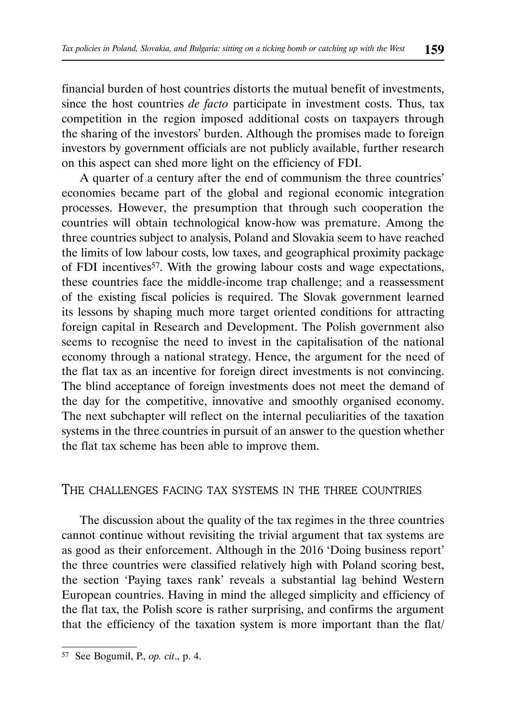financial burden of host countries distorts the mutual benefit of investments, since the host countries *de facto* participate in investment costs. Thus, tax competition in the region imposed additional costs on taxpayers through the sharing of the investors' burden. Although the promises made to foreign investors by government officials are not publicly available, further research on this aspect can shed more light on the efficiency of FDI.

A quarter of a century after the end of communism the three countries' economies became part of the global and regional economic integration processes. However, the presumption that through such cooperation the countries will obtain technological know-how was premature. Among the three countries subject to analysis, Poland and Slovakia seem to have reached the limits of low labour costs, low taxes, and geographical proximity package of FDI incentives<sup>57</sup>. With the growing labour costs and wage expectations, these countries face the middle-income trap challenge; and a reassessment of the existing fiscal policies is required. The Slovak government learned its lessons by shaping much more target oriented conditions for attracting foreign capital in Research and Development. The Polish government also seems to recognise the need to invest in the capitalisation of the national economy through a national strategy. Hence, the argument for the need of the flat tax as an incentive for foreign direct investments is not convincing. The blind acceptance of foreign investments does not meet the demand of the day for the competitive, innovative and smoothly organised economy. The next subchapter will reflect on the internal peculiarities of the taxation systems in the three countries in pursuit of an answer to the question whether the flat tax scheme has been able to improve them.

## THE CHALLENGES FACING TAX SYSTEMS IN THE THREE COUNTRIES

The discussion about the quality of the tax regimes in the three countries cannot continue without revisiting the trivial argument that tax systems are as good as their enforcement. Although in the 2016 'Doing business report' the three countries were classified relatively high with Poland scoring best, the section 'Paying taxes rank' reveals a substantial lag behind Western European countries. Having in mind the alleged simplicity and efficiency of the flat tax, the Polish score is rather surprising, and confirms the argument that the efficiency of the taxation system is more important than the flat/

<sup>57</sup> See Bogumił, P., *op. cit*., p. 4.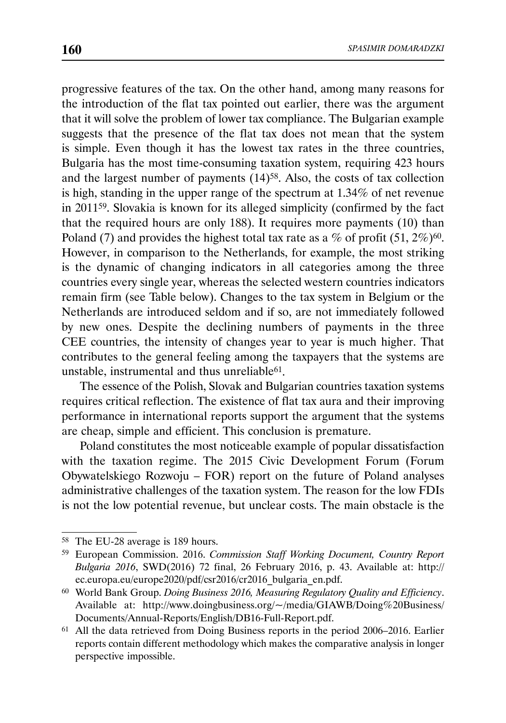progressive features of the tax. On the other hand, among many reasons for the introduction of the flat tax pointed out earlier, there was the argument that it will solve the problem of lower tax compliance. The Bulgarian example suggests that the presence of the flat tax does not mean that the system is simple. Even though it has the lowest tax rates in the three countries, Bulgaria has the most time-consuming taxation system, requiring 423 hours and the largest number of payments (14)58. Also, the costs of tax collection is high, standing in the upper range of the spectrum at 1.34% of net revenue in 201159. Slovakia is known for its alleged simplicity (confirmed by the fact that the required hours are only 188). It requires more payments (10) than Poland (7) and provides the highest total tax rate as a % of profit  $(51, 2\%)$ <sup>60</sup>. However, in comparison to the Netherlands, for example, the most striking is the dynamic of changing indicators in all categories among the three countries every single year, whereas the selected western countries indicators remain firm (see Table below). Changes to the tax system in Belgium or the Netherlands are introduced seldom and if so, are not immediately followed by new ones. Despite the declining numbers of payments in the three CEE countries, the intensity of changes year to year is much higher. That contributes to the general feeling among the taxpayers that the systems are unstable, instrumental and thus unreliable $61$ .

The essence of the Polish, Slovak and Bulgarian countries taxation systems requires critical reflection. The existence of flat tax aura and their improving performance in international reports support the argument that the systems are cheap, simple and efficient. This conclusion is premature.

Poland constitutes the most noticeable example of popular dissatisfaction with the taxation regime. The 2015 Civic Development Forum (Forum Obywatelskiego Rozwoju – FOR) report on the future of Poland analyses administrative challenges of the taxation system. The reason for the low FDIs is not the low potential revenue, but unclear costs. The main obstacle is the

<sup>58</sup> The EU-28 average is 189 hours.

<sup>59</sup> European Commission. 2016. *Commission Staff Working Document, Country Report Bulgaria 2016*, SWD(2016) 72 final, 26 February 2016, p. 43. Available at: http:// ec.europa.eu/europe2020/pdf/csr2016/cr2016\_bulgaria\_en.pdf.

<sup>60</sup> World Bank Group. *Doing Business 2016, Measuring Regulatory Quality and Efficiency*. Available at: http://www.doingbusiness.org/~/media/GIAWB/Doing%20Business/ Documents/Annual-Reports/English/DB16-Full-Report.pdf.

<sup>61</sup> All the data retrieved from Doing Business reports in the period 2006–2016. Earlier reports contain different methodology which makes the comparative analysis in longer perspective impossible.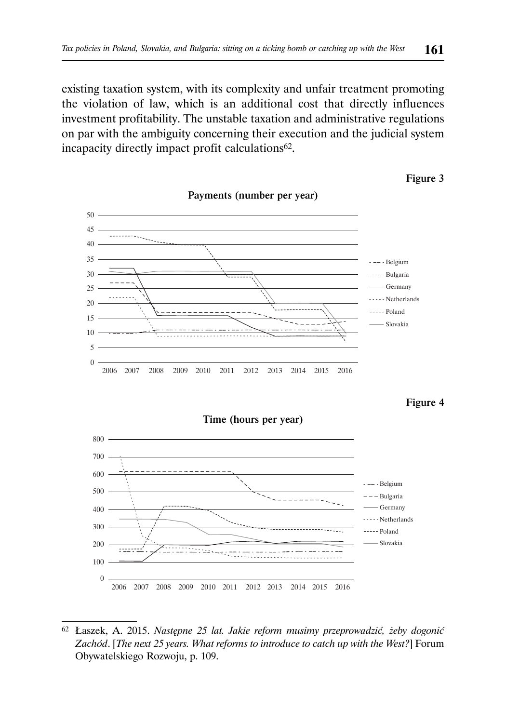existing taxation system, with its complexity and unfair treatment promoting the violation of law, which is an additional cost that directly influences investment profitability. The unstable taxation and administrative regulations on par with the ambiguity concerning their execution and the judicial system incapacity directly impact profit calculations<sup>62</sup>.



Figure 3

Figure 4



<sup>62</sup> Łaszek, A. 2015. *Następne 25 lat. Jakie reform musimy przeprowadzić, żeby dogonić Zachód*. [*The next 25 years. What reforms to introduce to catch up with the West?*] Forum Obywatelskiego Rozwoju, p. 109.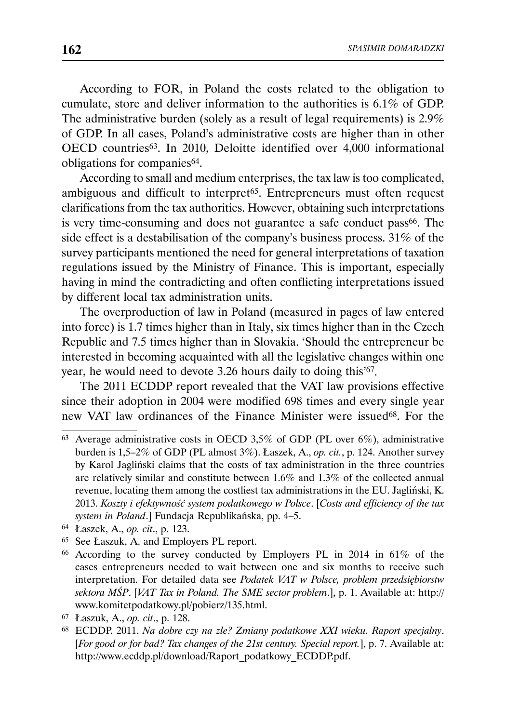According to FOR, in Poland the costs related to the obligation to cumulate, store and deliver information to the authorities is 6.1% of GDP. The administrative burden (solely as a result of legal requirements) is 2.9% of GDP. In all cases, Poland's administrative costs are higher than in other OECD countries63. In 2010, Deloitte identified over 4,000 informational obligations for companies<sup>64</sup>.

According to small and medium enterprises, the tax law is too complicated, ambiguous and difficult to interpret65. Entrepreneurs must often request clarifications from the tax authorities. However, obtaining such interpretations is very time-consuming and does not guarantee a safe conduct pass<sup>66</sup>. The side effect is a destabilisation of the company's business process. 31% of the survey participants mentioned the need for general interpretations of taxation regulations issued by the Ministry of Finance. This is important, especially having in mind the contradicting and often conflicting interpretations issued by different local tax administration units.

The overproduction of law in Poland (measured in pages of law entered into force) is 1.7 times higher than in Italy, six times higher than in the Czech Republic and 7.5 times higher than in Slovakia. 'Should the entrepreneur be interested in becoming acquainted with all the legislative changes within one year, he would need to devote 3.26 hours daily to doing this'67.

The 2011 ECDDP report revealed that the VAT law provisions effective since their adoption in 2004 were modified 698 times and every single year new VAT law ordinances of the Finance Minister were issued<sup>68</sup>. For the

<sup>67</sup> Łaszuk, A., *op. cit*., p. 128.

<sup>63</sup> Average administrative costs in OECD 3,5% of GDP (PL over 6%), administrative burden is 1,5–2% of GDP (PL almost 3%). Łaszek, A., *op. cit.*, p. 124. Another survey by Karol Jagliński claims that the costs of tax administration in the three countries are relatively similar and constitute between 1.6% and 1.3% of the collected annual revenue, locating them among the costliest tax administrations in the EU. Jagliński, K. 2013. *Koszty i efektywność system podatkowego w Polsce*. [*Costs and efficiency of the tax system in Poland*.] Fundacja Republikańska, pp. 4–5.

<sup>64</sup> Łaszek, A., *op. cit*., p. 123.

<sup>65</sup> See Łaszuk, A. and Employers PL report.

<sup>66</sup> According to the survey conducted by Employers PL in 2014 in 61% of the cases entrepreneurs needed to wait between one and six months to receive such interpretation. For detailed data see *Podatek VAT w Polsce, problem przedsiębiorstw sektora MŚP*. [*VAT Tax in Poland. The SME sector problem*.], p. 1. Available at: http:// www.komitetpodatkowy.pl/pobierz/135.html.

<sup>68</sup> ECDDP. 2011. *Na dobre czy na złe? Zmiany podatkowe XXI wieku. Raport specjalny*. [*For good or for bad? Tax changes of the 21st century. Special report.*], p. 7. Available at: http://www.ecddp.pl/download/Raport\_podatkowy\_ECDDP.pdf.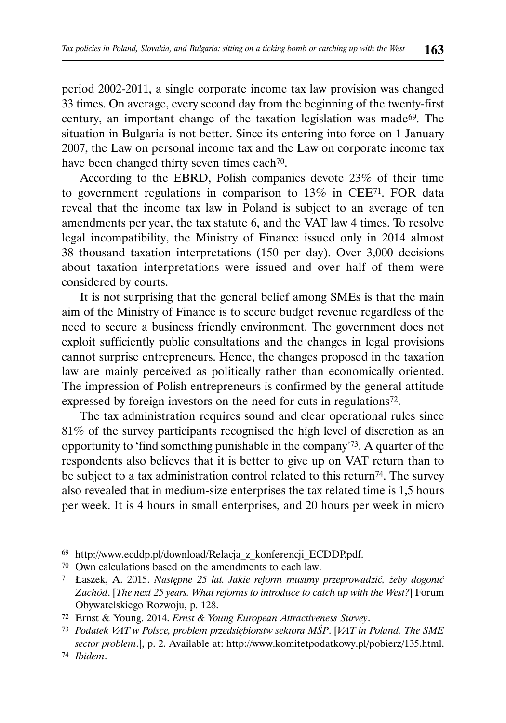period 2002-2011, a single corporate income tax law provision was changed 33 times. On average, every second day from the beginning of the twenty-first century, an important change of the taxation legislation was made69. The situation in Bulgaria is not better. Since its entering into force on 1 January 2007, the Law on personal income tax and the Law on corporate income tax have been changed thirty seven times each<sup>70</sup>.

According to the EBRD, Polish companies devote 23% of their time to government regulations in comparison to 13% in CEE71. FOR data reveal that the income tax law in Poland is subject to an average of ten amendments per year, the tax statute 6, and the VAT law 4 times. To resolve legal incompatibility, the Ministry of Finance issued only in 2014 almost 38 thousand taxation interpretations (150 per day). Over 3,000 decisions about taxation interpretations were issued and over half of them were considered by courts.

It is not surprising that the general belief among SMEs is that the main aim of the Ministry of Finance is to secure budget revenue regardless of the need to secure a business friendly environment. The government does not exploit sufficiently public consultations and the changes in legal provisions cannot surprise entrepreneurs. Hence, the changes proposed in the taxation law are mainly perceived as politically rather than economically oriented. The impression of Polish entrepreneurs is confirmed by the general attitude expressed by foreign investors on the need for cuts in regulations72.

The tax administration requires sound and clear operational rules since 81% of the survey participants recognised the high level of discretion as an opportunity to 'find something punishable in the company'73. A quarter of the respondents also believes that it is better to give up on VAT return than to be subject to a tax administration control related to this return<sup>74</sup>. The survey also revealed that in medium-size enterprises the tax related time is 1,5 hours per week. It is 4 hours in small enterprises, and 20 hours per week in micro

<sup>69</sup> http://www.ecddp.pl/download/Relacja\_z\_konferencji\_ECDDP.pdf.

<sup>70</sup> Own calculations based on the amendments to each law.

<sup>71</sup> Łaszek, A. 2015. *Następne 25 lat. Jakie reform musimy przeprowadzić, żeby dogonić Zachód*. [*The next 25 years. What reforms to introduce to catch up with the West?*] Forum Obywatelskiego Rozwoju, p. 128.

<sup>72</sup> Ernst & Young. 2014. *Ernst & Young European Attractiveness Survey*.

<sup>73</sup> *Podatek VAT w Polsce, problem przedsiębiorstw sektora MŚP*. [*VAT in Poland. The SME sector problem*.], p. 2. Available at: http://www.komitetpodatkowy.pl/pobierz/135.html.

<sup>74</sup> *Ibidem*.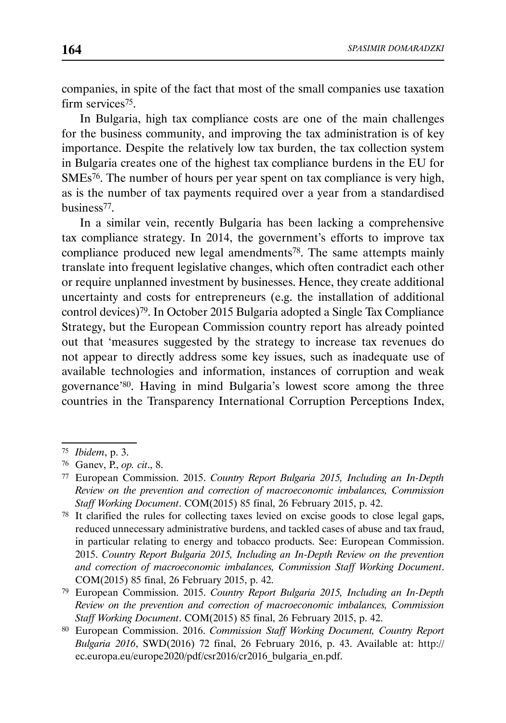companies, in spite of the fact that most of the small companies use taxation firm services<sup>75</sup>.

In Bulgaria, high tax compliance costs are one of the main challenges for the business community, and improving the tax administration is of key importance. Despite the relatively low tax burden, the tax collection system in Bulgaria creates one of the highest tax compliance burdens in the EU for SMEs76. The number of hours per year spent on tax compliance is very high, as is the number of tax payments required over a year from a standardised business77.

In a similar vein, recently Bulgaria has been lacking a comprehensive tax compliance strategy. In 2014, the government's efforts to improve tax compliance produced new legal amendments<sup>78</sup>. The same attempts mainly translate into frequent legislative changes, which often contradict each other or require unplanned investment by businesses. Hence, they create additional uncertainty and costs for entrepreneurs (e.g. the installation of additional control devices)79. In October 2015 Bulgaria adopted a Single Tax Compliance Strategy, but the European Commission country report has already pointed out that 'measures suggested by the strategy to increase tax revenues do not appear to directly address some key issues, such as inadequate use of available technologies and information, instances of corruption and weak governance'80. Having in mind Bulgaria's lowest score among the three countries in the Transparency International Corruption Perceptions Index,

<sup>75</sup> *Ibidem*, p. 3.

<sup>76</sup> Ganev, P., *op. cit*., 8.

<sup>77</sup> European Commission. 2015. *Country Report Bulgaria 2015, Including an In-Depth Review on the prevention and correction of macroeconomic imbalances, Commission Staff Working Document*. COM(2015) 85 final, 26 February 2015, p. 42.

<sup>78</sup> It clarified the rules for collecting taxes levied on excise goods to close legal gaps, reduced unnecessary administrative burdens, and tackled cases of abuse and tax fraud, in particular relating to energy and tobacco products. See: European Commission. 2015. *Country Report Bulgaria 2015, Including an In-Depth Review on the prevention and correction of macroeconomic imbalances, Commission Staff Working Document*. COM(2015) 85 final, 26 February 2015, p. 42.

<sup>79</sup> European Commission. 2015. *Country Report Bulgaria 2015, Including an In-Depth Review on the prevention and correction of macroeconomic imbalances, Commission Staff Working Document*. COM(2015) 85 final, 26 February 2015, p. 42.

<sup>80</sup> European Commission. 2016. *Commission Staff Working Document, Country Report Bulgaria 2016*, SWD(2016) 72 final, 26 February 2016, p. 43. Available at: http:// ec.europa.eu/europe2020/pdf/csr2016/cr2016\_bulgaria\_en.pdf.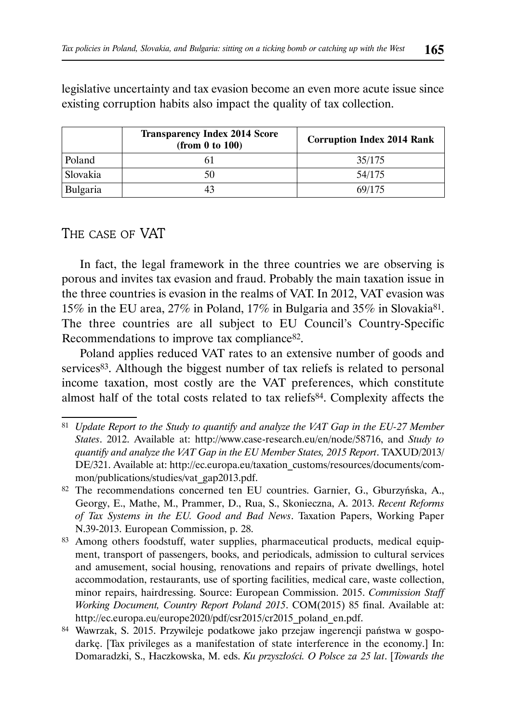|          | <b>Transparency Index 2014 Score</b><br>(from 0 to 100) | <b>Corruption Index 2014 Rank</b> |  |  |  |
|----------|---------------------------------------------------------|-----------------------------------|--|--|--|
| Poland   |                                                         | 35/175                            |  |  |  |
| Slovakia |                                                         | 54/175                            |  |  |  |
| Bulgaria |                                                         | 69/175                            |  |  |  |

legislative uncertainty and tax evasion become an even more acute issue since existing corruption habits also impact the quality of tax collection.

# THE CASE OF VAT

In fact, the legal framework in the three countries we are observing is porous and invites tax evasion and fraud. Probably the main taxation issue in the three countries is evasion in the realms of VAT. In 2012, VAT evasion was 15% in the EU area, 27% in Poland, 17% in Bulgaria and 35% in Slovakia81. The three countries are all subject to EU Council's Country-Specific Recommendations to improve tax compliance<sup>82</sup>.

Poland applies reduced VAT rates to an extensive number of goods and services<sup>83</sup>. Although the biggest number of tax reliefs is related to personal income taxation, most costly are the VAT preferences, which constitute almost half of the total costs related to tax reliefs84. Complexity affects the

<sup>81</sup> *Update Report to the Study to quantify and analyze the VAT Gap in the EU-27 Member States*. 2012. Available at: http://www.case-research.eu/en/node/58716, and *Study to quantify and analyze the VAT Gap in the EU Member States, 2015 Report*. TAXUD/2013/ DE/321. Available at: http://ec.europa.eu/taxation\_customs/resources/documents/common/publications/studies/vat\_gap2013.pdf.

<sup>82</sup> The recommendations concerned ten EU countries. Garnier, G., Gburzyńska, A., Georgy, E., Mathe, M., Prammer, D., Rua, S., Skonieczna, A. 2013. *Recent Reforms of Tax Systems in the EU. Good and Bad News*. Taxation Papers, Working Paper N.39-2013. European Commission, p. 28.

<sup>83</sup> Among others foodstuff, water supplies, pharmaceutical products, medical equipment, transport of passengers, books, and periodicals, admission to cultural services and amusement, social housing, renovations and repairs of private dwellings, hotel accommodation, restaurants, use of sporting facilities, medical care, waste collection, minor repairs, hairdressing. Source: European Commission. 2015. *Commission Staff Working Document, Country Report Poland 2015*. COM(2015) 85 final. Available at: http://ec.europa.eu/europe2020/pdf/csr2015/cr2015\_poland\_en.pdf.

<sup>84</sup> Wawrzak, S. 2015. Przywileje podatkowe jako przejaw ingerencji państwa w gospodarkę. [Tax privileges as a manifestation of state interference in the economy.] In: Domaradzki, S., Haczkowska, M. eds. *Ku przyszłości. O Polsce za 25 lat*. [*Towards the*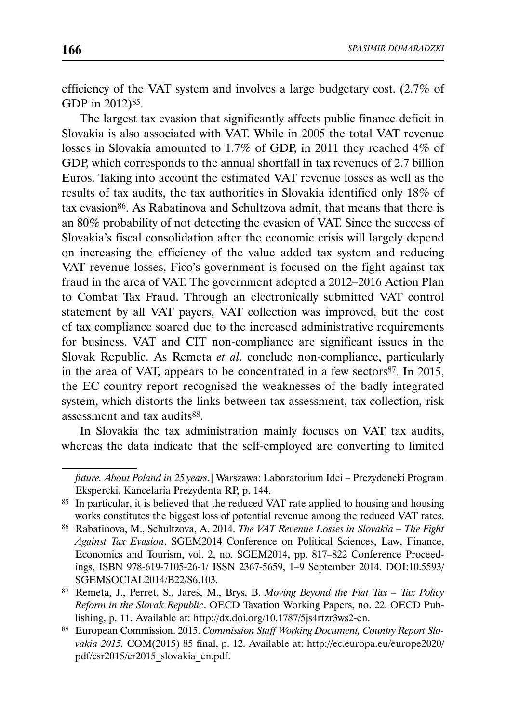efficiency of the VAT system and involves a large budgetary cost. (2.7% of GDP in 2012)<sup>85</sup>.

The largest tax evasion that significantly affects public finance deficit in Slovakia is also associated with VAT. While in 2005 the total VAT revenue losses in Slovakia amounted to 1.7% of GDP, in 2011 they reached 4% of GDP, which corresponds to the annual shortfall in tax revenues of 2.7 billion Euros. Taking into account the estimated VAT revenue losses as well as the results of tax audits, the tax authorities in Slovakia identified only 18% of tax evasion<sup>86</sup>. As Rabatinova and Schultzova admit, that means that there is an 80% probability of not detecting the evasion of VAT. Since the success of Slovakia's fiscal consolidation after the economic crisis will largely depend on increasing the efficiency of the value added tax system and reducing VAT revenue losses, Fico's government is focused on the fight against tax fraud in the area of VAT. The government adopted a 2012–2016 Action Plan to Combat Tax Fraud. Through an electronically submitted VAT control statement by all VAT payers, VAT collection was improved, but the cost of tax compliance soared due to the increased administrative requirements for business. VAT and CIT non-compliance are significant issues in the Slovak Republic. As Remeta *et al*. conclude non-compliance, particularly in the area of VAT, appears to be concentrated in a few sectors $87$ . In 2015, the EC country report recognised the weaknesses of the badly integrated system, which distorts the links between tax assessment, tax collection, risk assessment and tax audits<sup>88</sup>.

In Slovakia the tax administration mainly focuses on VAT tax audits, whereas the data indicate that the self-employed are converting to limited

*future. About Poland in 25 years*.] Warszawa: Laboratorium Idei – Prezydencki Program Ekspercki, Kancelaria Prezydenta RP, p. 144.

<sup>85</sup> In particular, it is believed that the reduced VAT rate applied to housing and housing works constitutes the biggest loss of potential revenue among the reduced VAT rates.

<sup>86</sup> Rabatinova, M., Schultzova, A. 2014. *The VAT Revenue Losses in Slovakia – The Fight Against Tax Evasion*. SGEM2014 Conference on Political Sciences, Law, Finance, Economics and Tourism, vol. 2, no. SGEM2014, pp. 817–822 Conference Proceedings, ISBN 978-619-7105-26-1/ ISSN 2367-5659, 1–9 September 2014. DOI:10.5593/ SGEMSOCIAL2014/B22/S6.103.

<sup>87</sup> Remeta, J., Perret, S., Jareś, M., Brys, B. *Moving Beyond the Flat Tax – Tax Policy Reform in the Slovak Republic*. OECD Taxation Working Papers, no. 22. OECD Publishing, p. 11. Available at: http://dx.doi.org/10.1787/5js4rtzr3ws2-en.

<sup>88</sup> European Commission. 2015. *Commission Staff Working Document, Country Report Slovakia 2015.* COM(2015) 85 final, p. 12. Available at: http://ec.europa.eu/europe2020/ pdf/csr2015/cr2015\_slovakia\_en.pdf.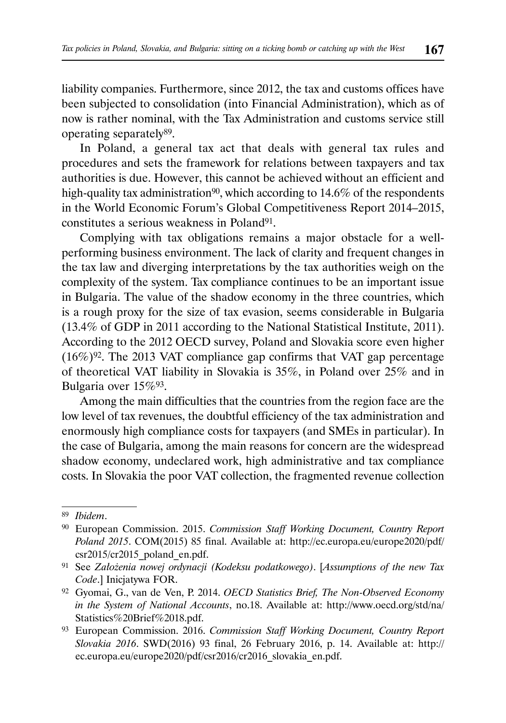liability companies. Furthermore, since 2012, the tax and customs offices have been subjected to consolidation (into Financial Administration), which as of now is rather nominal, with the Tax Administration and customs service still operating separately89.

In Poland, a general tax act that deals with general tax rules and procedures and sets the framework for relations between taxpayers and tax authorities is due. However, this cannot be achieved without an efficient and high-quality tax administration<sup>90</sup>, which according to  $14.6\%$  of the respondents in the World Economic Forum's Global Competitiveness Report 2014–2015, constitutes a serious weakness in Poland<sup>91</sup>.

Complying with tax obligations remains a major obstacle for a wellperforming business environment. The lack of clarity and frequent changes in the tax law and diverging interpretations by the tax authorities weigh on the complexity of the system. Tax compliance continues to be an important issue in Bulgaria. The value of the shadow economy in the three countries, which is a rough proxy for the size of tax evasion, seems considerable in Bulgaria (13.4% of GDP in 2011 according to the National Statistical Institute, 2011). According to the 2012 OECD survey, Poland and Slovakia score even higher  $(16\%)^{92}$ . The 2013 VAT compliance gap confirms that VAT gap percentage of theoretical VAT liability in Slovakia is 35%, in Poland over 25% and in Bulgaria over 15%93.

Among the main difficulties that the countries from the region face are the low level of tax revenues, the doubtful efficiency of the tax administration and enormously high compliance costs for taxpayers (and SMEs in particular). In the case of Bulgaria, among the main reasons for concern are the widespread shadow economy, undeclared work, high administrative and tax compliance costs. In Slovakia the poor VAT collection, the fragmented revenue collection

<sup>89</sup> *Ibidem*.

<sup>90</sup> European Commission. 2015. *Commission Staff Working Document, Country Report Poland 2015*. COM(2015) 85 final. Available at: http://ec.europa.eu/europe2020/pdf/ csr2015/cr2015\_poland\_en.pdf.

<sup>91</sup> See *Założenia nowej ordynacji (Kodeksu podatkowego)*. [*Assumptions of the new Tax Code*.] Inicjatywa FOR.

<sup>92</sup> Gyomai, G., van de Ven, P. 2014. *OECD Statistics Brief, The Non-Observed Economy in the System of National Accounts*, no.18. Available at: http://www.oecd.org/std/na/ Statistics%20Brief%2018.pdf.

<sup>93</sup> European Commission. 2016. *Commission Staff Working Document, Country Report Slovakia 2016*. SWD(2016) 93 final, 26 February 2016, p. 14. Available at: http:// ec.europa.eu/europe2020/pdf/csr2016/cr2016\_slovakia\_en.pdf.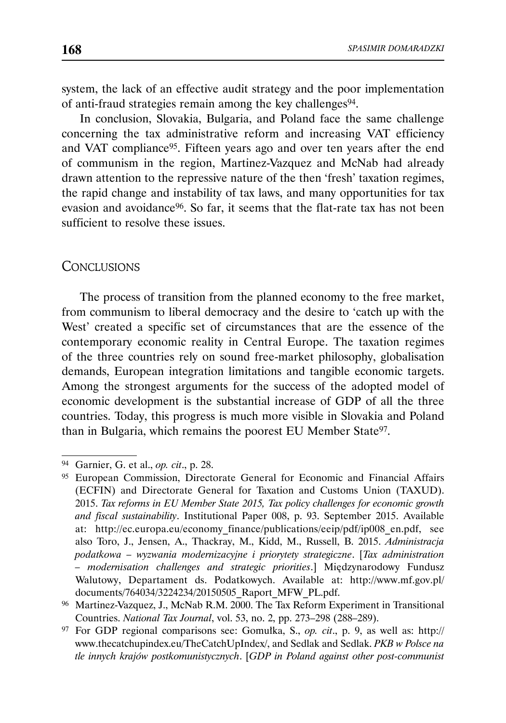system, the lack of an effective audit strategy and the poor implementation of anti-fraud strategies remain among the key challenges<sup>94</sup>.

In conclusion, Slovakia, Bulgaria, and Poland face the same challenge concerning the tax administrative reform and increasing VAT efficiency and VAT compliance95. Fifteen years ago and over ten years after the end of communism in the region, Martinez-Vazquez and McNab had already drawn attention to the repressive nature of the then 'fresh' taxation regimes, the rapid change and instability of tax laws, and many opportunities for tax evasion and avoidance<sup>96</sup>. So far, it seems that the flat-rate tax has not been sufficient to resolve these issues.

#### **CONCLUSIONS**

The process of transition from the planned economy to the free market, from communism to liberal democracy and the desire to 'catch up with the West' created a specific set of circumstances that are the essence of the contemporary economic reality in Central Europe. The taxation regimes of the three countries rely on sound free-market philosophy, globalisation demands, European integration limitations and tangible economic targets. Among the strongest arguments for the success of the adopted model of economic development is the substantial increase of GDP of all the three countries. Today, this progress is much more visible in Slovakia and Poland than in Bulgaria, which remains the poorest EU Member State<sup>97</sup>.

<sup>94</sup> Garnier, G. et al., *op. cit*., p. 28.

<sup>95</sup> European Commission, Directorate General for Economic and Financial Affairs (ECFIN) and Directorate General for Taxation and Customs Union (TAXUD). 2015. *Tax reforms in EU Member State 2015, Tax policy challenges for economic growth and fiscal sustainability*. Institutional Paper 008, p. 93. September 2015. Available at: http://ec.europa.eu/economy\_finance/publications/eeip/pdf/ip008\_en.pdf, see also Toro, J., Jensen, A., Thackray, M., Kidd, M., Russell, B. 2015. *Administracja podatkowa – wyzwania modernizacyjne i priorytety strategiczne*. [*Tax administration – modernisation challenges and strategic priorities*.] Międzynarodowy Fundusz Walutowy, Departament ds. Podatkowych. Available at: http://www.mf.gov.pl/ documents/764034/3224234/20150505\_Raport\_MFW\_PL.pdf.

<sup>96</sup> Martinez-Vazquez, J., McNab R.M. 2000. The Tax Reform Experiment in Transitional Countries. *National Tax Journal*, vol. 53, no. 2, pp. 273–298 (288–289).

<sup>97</sup> For GDP regional comparisons see: Gomułka, S., *op. cit*., p. 9, as well as: http:// www.thecatchupindex.eu/TheCatchUpIndex/, and Sedlak and Sedlak. *PKB w Polsce na tle innych krajów postkomunistycznych*. [*GDP in Poland against other post-communist*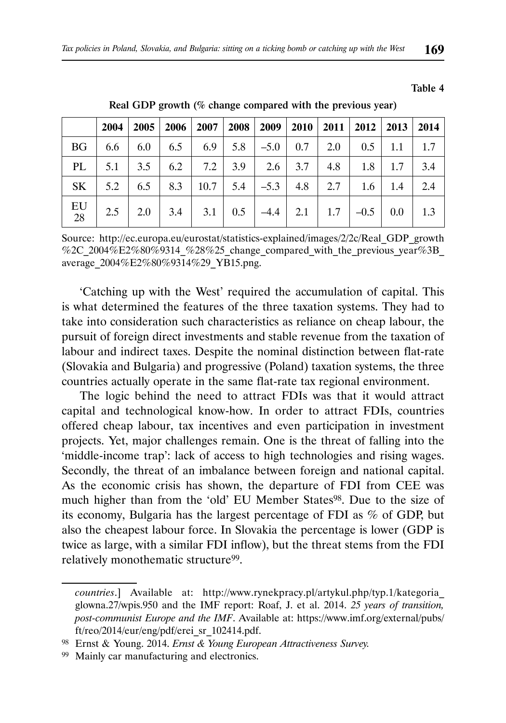Table 4

|                       |                                                                                                                                       |  |  | $2004$   2005   2006   2007   2008   2009   2010   2011   2012   2013   2014 |  |  |  |
|-----------------------|---------------------------------------------------------------------------------------------------------------------------------------|--|--|------------------------------------------------------------------------------|--|--|--|
|                       | BG   6.6   6.0   6.5   6.9   5.8   -5.0   0.7   2.0   0.5   1.1   1.7                                                                 |  |  |                                                                              |  |  |  |
| PL                    |                                                                                                                                       |  |  |                                                                              |  |  |  |
| SK                    | $\vert$ 5.2 $\vert$ 6.5 $\vert$ 8.3 $\vert$ 10.7 $\vert$ 5.4 $\vert$ -5.3 $\vert$ 4.8 $\vert$ 2.7 $\vert$ 1.6 $\vert$ 1.4 $\vert$ 2.4 |  |  |                                                                              |  |  |  |
| EU<br>$\overline{28}$ |                                                                                                                                       |  |  |                                                                              |  |  |  |

Real GDP growth (% change compared with the previous year)

Source: http://ec.europa.eu/eurostat/statistics-explained/images/2/2c/Real\_GDP\_growth %2C\_2004%E2%80%9314\_%28%25\_change\_compared\_with\_the\_previous\_year%3B average\_2004%E2%80%9314%29\_YB15.png.

'Catching up with the West' required the accumulation of capital. This is what determined the features of the three taxation systems. They had to take into consideration such characteristics as reliance on cheap labour, the pursuit of foreign direct investments and stable revenue from the taxation of labour and indirect taxes. Despite the nominal distinction between flat-rate (Slovakia and Bulgaria) and progressive (Poland) taxation systems, the three countries actually operate in the same flat-rate tax regional environment.

The logic behind the need to attract FDIs was that it would attract capital and technological know-how. In order to attract FDIs, countries offered cheap labour, tax incentives and even participation in investment projects. Yet, major challenges remain. One is the threat of falling into the 'middle-income trap': lack of access to high technologies and rising wages. Secondly, the threat of an imbalance between foreign and national capital. As the economic crisis has shown, the departure of FDI from CEE was much higher than from the 'old' EU Member States<sup>98</sup>. Due to the size of its economy, Bulgaria has the largest percentage of FDI as % of GDP, but also the cheapest labour force. In Slovakia the percentage is lower (GDP is twice as large, with a similar FDI inflow), but the threat stems from the FDI relatively monothematic structure99.

*countries*.] Available at: http://www.rynekpracy.pl/artykul.php/typ.1/kategoria\_ glowna.27/wpis.950 and the IMF report: Roaf, J. et al. 2014. *25 years of transition, post-communist Europe and the IMF*. Available at: https://www.imf.org/external/pubs/ ft/reo/2014/eur/eng/pdf/erei\_sr\_102414.pdf.

<sup>98</sup> Ernst & Young. 2014. *Ernst & Young European Attractiveness Survey.*

<sup>99</sup> Mainly car manufacturing and electronics.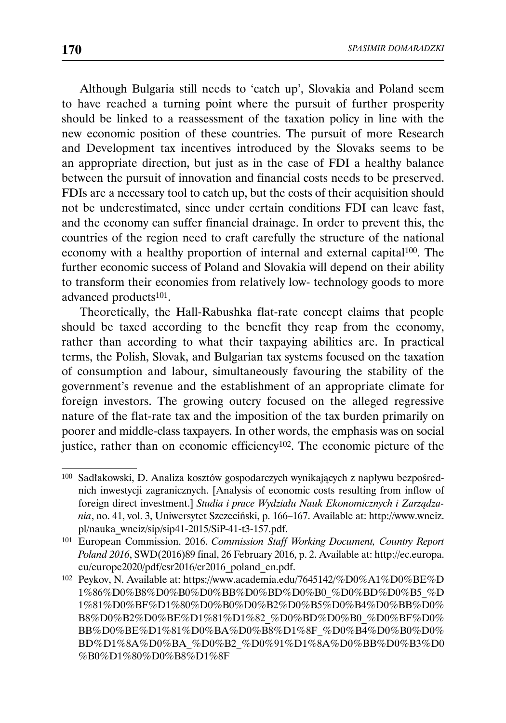Although Bulgaria still needs to 'catch up', Slovakia and Poland seem to have reached a turning point where the pursuit of further prosperity should be linked to a reassessment of the taxation policy in line with the new economic position of these countries. The pursuit of more Research and Development tax incentives introduced by the Slovaks seems to be an appropriate direction, but just as in the case of FDI a healthy balance between the pursuit of innovation and financial costs needs to be preserved. FDIs are a necessary tool to catch up, but the costs of their acquisition should not be underestimated, since under certain conditions FDI can leave fast, and the economy can suffer financial drainage. In order to prevent this, the countries of the region need to craft carefully the structure of the national economy with a healthy proportion of internal and external capital100. The further economic success of Poland and Slovakia will depend on their ability to transform their economies from relatively low- technology goods to more advanced products101.

Theoretically, the Hall-Rabushka flat-rate concept claims that people should be taxed according to the benefit they reap from the economy, rather than according to what their taxpaying abilities are. In practical terms, the Polish, Slovak, and Bulgarian tax systems focused on the taxation of consumption and labour, simultaneously favouring the stability of the government's revenue and the establishment of an appropriate climate for foreign investors. The growing outcry focused on the alleged regressive nature of the flat-rate tax and the imposition of the tax burden primarily on poorer and middle-class taxpayers. In other words, the emphasis was on social justice, rather than on economic efficiency<sup>102</sup>. The economic picture of the

<sup>100</sup> Sadłakowski, D. Analiza kosztów gospodarczych wynikających z napływu bezpośrednich inwestycji zagranicznych. [Analysis of economic costs resulting from inflow of foreign direct investment.] *Studia i prace Wydziału Nauk Ekonomicznych i Zarządzania*, no. 41, vol. 3, Uniwersytet Szczeciński, p. 166–167. Available at: http://www.wneiz. pl/nauka\_wneiz/sip/sip41-2015/SiP-41-t3-157.pdf.

<sup>101</sup> European Commission. 2016. *Commission Staff Working Document, Country Report Poland 2016*, SWD(2016)89 final, 26 February 2016, p. 2. Available at: http://ec.europa. eu/europe2020/pdf/csr2016/cr2016\_poland\_en.pdf.

<sup>102</sup> Peykov, N. Available at: https://www.academia.edu/7645142/%D0%A1%D0%BE%D 1%86%D0%B8%D0%B0%D0%BB%D0%BD%D0%B0\_%D0%BD%D0%B5\_%D 1%81%D0%BF%D1%80%D0%B0%D0%B2%D0%B5%D0%B4%D0%BB%D0% B8%D0%B2%D0%BE%D1%81%D1%82\_%D0%BD%D0%B0\_%D0%BF%D0% BB%D0%BE%D1%81%D0%BA%D0%B8%D1%8F\_%D0%B4%D0%B0%D0% BD%D1%8A%D0%BA\_%D0%B2\_%D0%91%D1%8A%D0%BB%D0%B3%D0 %B0%D1%80%D0%B8%D1%8F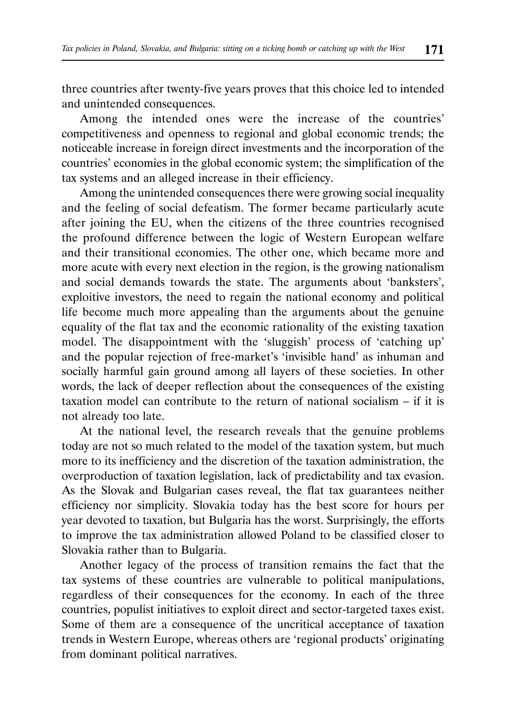three countries after twenty-five years proves that this choice led to intended and unintended consequences.

Among the intended ones were the increase of the countries' competitiveness and openness to regional and global economic trends; the noticeable increase in foreign direct investments and the incorporation of the countries' economies in the global economic system; the simplification of the tax systems and an alleged increase in their efficiency.

Among the unintended consequences there were growing social inequality and the feeling of social defeatism. The former became particularly acute after joining the EU, when the citizens of the three countries recognised the profound difference between the logic of Western European welfare and their transitional economies. The other one, which became more and more acute with every next election in the region, is the growing nationalism and social demands towards the state. The arguments about 'banksters', exploitive investors, the need to regain the national economy and political life become much more appealing than the arguments about the genuine equality of the flat tax and the economic rationality of the existing taxation model. The disappointment with the 'sluggish' process of 'catching up' and the popular rejection of free-market's 'invisible hand' as inhuman and socially harmful gain ground among all layers of these societies. In other words, the lack of deeper reflection about the consequences of the existing taxation model can contribute to the return of national socialism – if it is not already too late.

At the national level, the research reveals that the genuine problems today are not so much related to the model of the taxation system, but much more to its inefficiency and the discretion of the taxation administration, the overproduction of taxation legislation, lack of predictability and tax evasion. As the Slovak and Bulgarian cases reveal, the flat tax guarantees neither efficiency nor simplicity. Slovakia today has the best score for hours per year devoted to taxation, but Bulgaria has the worst. Surprisingly, the efforts to improve the tax administration allowed Poland to be classified closer to Slovakia rather than to Bulgaria.

Another legacy of the process of transition remains the fact that the tax systems of these countries are vulnerable to political manipulations, regardless of their consequences for the economy. In each of the three countries, populist initiatives to exploit direct and sector-targeted taxes exist. Some of them are a consequence of the uncritical acceptance of taxation trends in Western Europe, whereas others are 'regional products' originating from dominant political narratives.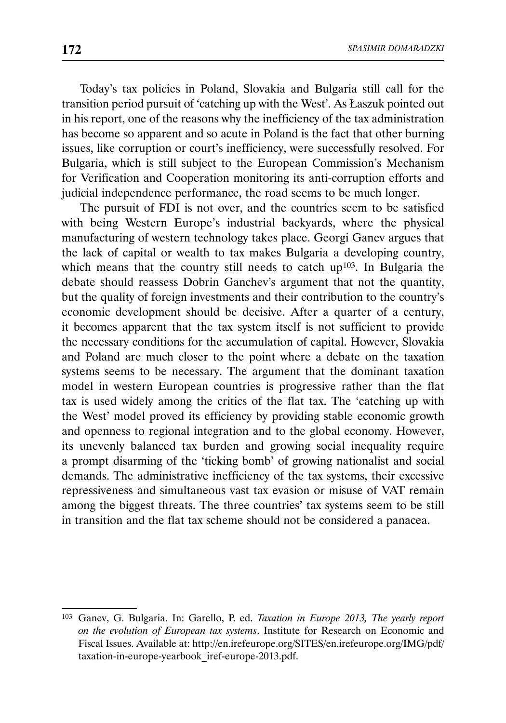Today's tax policies in Poland, Slovakia and Bulgaria still call for the transition period pursuit of 'catching up with the West'. As Łaszuk pointed out in his report, one of the reasons why the inefficiency of the tax administration has become so apparent and so acute in Poland is the fact that other burning issues, like corruption or court's inefficiency, were successfully resolved. For Bulgaria, which is still subject to the European Commission's Mechanism for Verification and Cooperation monitoring its anti-corruption efforts and judicial independence performance, the road seems to be much longer.

The pursuit of FDI is not over, and the countries seem to be satisfied with being Western Europe's industrial backyards, where the physical manufacturing of western technology takes place. Georgi Ganev argues that the lack of capital or wealth to tax makes Bulgaria a developing country, which means that the country still needs to catch up<sup>103</sup>. In Bulgaria the debate should reassess Dobrin Ganchev's argument that not the quantity, but the quality of foreign investments and their contribution to the country's economic development should be decisive. After a quarter of a century, it becomes apparent that the tax system itself is not sufficient to provide the necessary conditions for the accumulation of capital. However, Slovakia and Poland are much closer to the point where a debate on the taxation systems seems to be necessary. The argument that the dominant taxation model in western European countries is progressive rather than the flat tax is used widely among the critics of the flat tax. The 'catching up with the West' model proved its efficiency by providing stable economic growth and openness to regional integration and to the global economy. However, its unevenly balanced tax burden and growing social inequality require a prompt disarming of the 'ticking bomb' of growing nationalist and social demands. The administrative inefficiency of the tax systems, their excessive repressiveness and simultaneous vast tax evasion or misuse of VAT remain among the biggest threats. The three countries' tax systems seem to be still in transition and the flat tax scheme should not be considered a panacea.

<sup>103</sup> Ganev, G. Bulgaria. In: Garello, P. ed. *Taxation in Europe 2013, The yearly report on the evolution of European tax systems*. Institute for Research on Economic and Fiscal Issues. Available at: http://en.irefeurope.org/SITES/en.irefeurope.org/IMG/pdf/ taxation-in-europe-yearbook\_iref-europe-2013.pdf.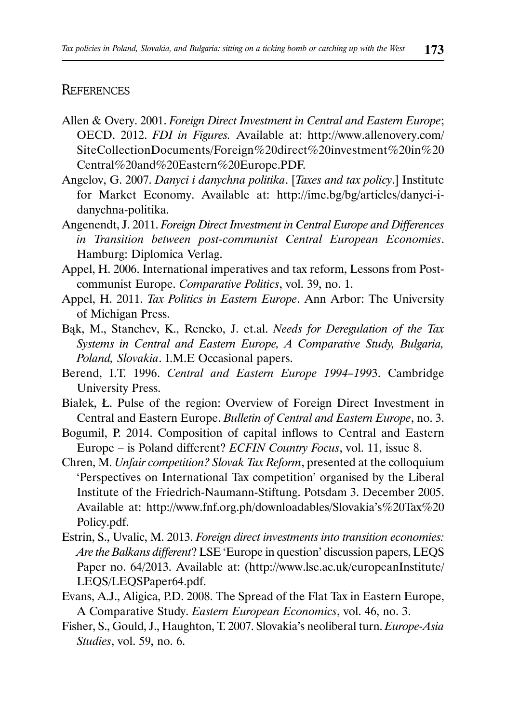## **REFERENCES**

- Allen & Overy. 2001. *Foreign Direct Investment in Central and Eastern Europe*; OECD. 2012. *FDI in Figures.* Available at: http://www.allenovery.com/ SiteCollectionDocuments/Foreign%20direct%20investment%20in%20 Central%20and%20Eastern%20Europe.PDF.
- Angelov, G. 2007. *Danyci i danychna politika*. [*Taxes and tax policy*.] Institute for Market Economy. Available at: http://ime.bg/bg/articles/danyci-idanychna-politika.
- Angenendt, J. 2011. *Foreign Direct Investment in Central Europe and Differences in Transition between post-communist Central European Economies*. Hamburg: Diplomica Verlag.
- Appel, H. 2006. International imperatives and tax reform, Lessons from Postcommunist Europe. *Comparative Politics*, vol. 39, no. 1.
- Appel, H. 2011. *Tax Politics in Eastern Europe*. Ann Arbor: The University of Michigan Press.
- Bąk, M., Stanchev, K., Rencko, J. et.al. *Needs for Deregulation of the Tax Systems in Central and Eastern Europe, A Comparative Study, Bulgaria, Poland, Slovakia*. I.M.E Occasional papers.
- Berend, I.T. 1996. *Central and Eastern Europe 1994–199*3. Cambridge University Press.
- Białek, Ł. Pulse of the region: Overview of Foreign Direct Investment in Central and Eastern Europe. *Bulletin of Central and Eastern Europe*, no. 3.
- Bogumił, P. 2014. Composition of capital inflows to Central and Eastern Europe – is Poland different? *ECFIN Country Focus*, vol. 11, issue 8.
- Chren, M. *Unfair competition? Slovak Tax Reform*, presented at the colloquium 'Perspectives on International Tax competition' organised by the Liberal Institute of the Friedrich-Naumann-Stiftung. Potsdam 3. December 2005. Available at: http://www.fnf.org.ph/downloadables/Slovakia's%20Tax%20 Policy.pdf.
- Estrin, S., Uvalic, M. 2013. *Foreign direct investments into transition economies: Are the Balkans different*? LSE 'Europe in question' discussion papers, LEQS Paper no. 64/2013. Available at: (http://www.lse.ac.uk/europeanInstitute/ LEQS/LEQSPaper64.pdf.
- Evans, A.J., Aligica, P.D. 2008. The Spread of the Flat Tax in Eastern Europe, A Comparative Study. *Eastern European Economics*, vol. 46, no. 3.
- Fisher, S., Gould, J., Haughton, T. 2007. Slovakia's neoliberal turn. *Europe-Asia Studies*, vol. 59, no. 6.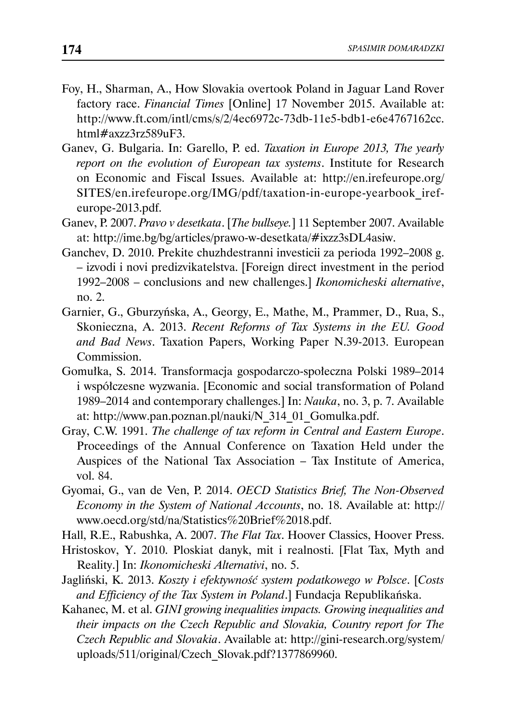- Foy, H., Sharman, A., How Slovakia overtook Poland in Jaguar Land Rover factory race. *Financial Times* [Online] 17 November 2015. Available at: http://www.ft.com/intl/cms/s/2/4ec6972c-73db-11e5-bdb1-e6e4767162cc. html#axzz3rz589uF3.
- Ganev, G. Bulgaria. In: Garello, P. ed. *Taxation in Europe 2013, The yearly report on the evolution of European tax systems*. Institute for Research on Economic and Fiscal Issues. Available at: http://en.irefeurope.org/ SITES/en.irefeurope.org/IMG/pdf/taxation-in-europe-yearbook\_irefeurope-2013.pdf.
- Ganev, P. 2007. *Pravo v desetkata*. [*The bullseye.*] 11 September 2007. Available at: http://ime.bg/bg/articles/prawo-w-desetkata/#ixzz3sDL4asiw.
- Ganchev, D. 2010. Prekite chuzhdestranni investicii za perioda 1992–2008 g. – izvodi i novi predizvikatelstva. [Foreign direct investment in the period 1992–2008 – conclusions and new challenges.] *Ikonomicheski alternative*, no. 2.
- Garnier, G., Gburzyńska, A., Georgy, E., Mathe, M., Prammer, D., Rua, S., Skonieczna, A. 2013. *Recent Reforms of Tax Systems in the EU. Good and Bad News*. Taxation Papers, Working Paper N.39-2013. European Commission.
- Gomułka, S. 2014. Transformacja gospodarczo-społeczna Polski 1989–2014 i współczesne wyzwania. [Economic and social transformation of Poland 1989–2014 and contemporary challenges.] In: *Nauka*, no. 3, p. 7. Available at: http://www.pan.poznan.pl/nauki/N\_314\_01\_Gomulka.pdf.
- Gray, C.W. 1991. *The challenge of tax reform in Central and Eastern Europe*. Proceedings of the Annual Conference on Taxation Held under the Auspices of the National Tax Association – Tax Institute of America, vol. 84.
- Gyomai, G., van de Ven, P. 2014. *OECD Statistics Brief, The Non-Observed Economy in the System of National Accounts*, no. 18. Available at: http:// www.oecd.org/std/na/Statistics%20Brief%2018.pdf.
- Hall, R.E., Rabushka, A. 2007. *The Flat Tax*. Hoover Classics, Hoover Press.
- Hristoskov, Y. 2010. Ploskiat danyk, mit i realnosti. [Flat Tax, Myth and Reality.] In: *Ikonomicheski Alternativi*, no. 5.
- Jagliński, K. 2013. *Koszty i efektywność system podatkowego w Polsce*. [*Costs and Efficiency of the Tax System in Poland*.] Fundacja Republikańska.
- Kahanec, M. et al. *GINI growing inequalities impacts. Growing inequalities and their impacts on the Czech Republic and Slovakia, Country report for The Czech Republic and Slovakia*. Available at: http://gini-research.org/system/ uploads/511/original/Czech\_Slovak.pdf?1377869960.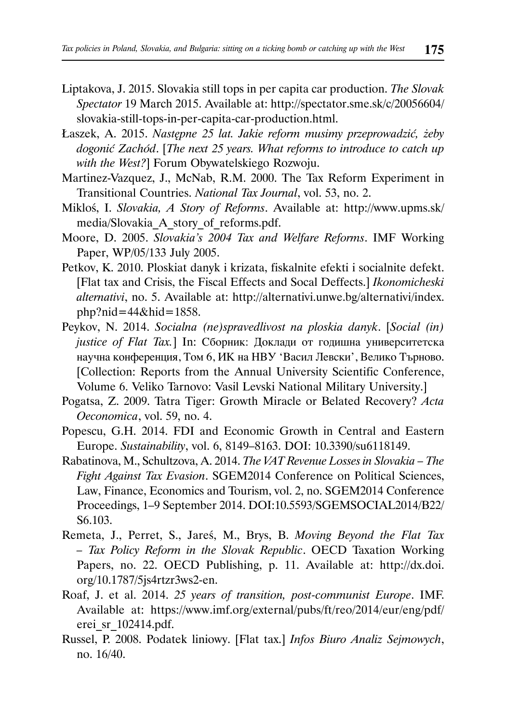- Liptakova, J. 2015. Slovakia still tops in per capita car production. *The Slovak Spectator* 19 March 2015. Available at: http://spectator.sme.sk/c/20056604/ slovakia-still-tops-in-per-capita-car-production.html.
- Łaszek, A. 2015. *Następne 25 lat. Jakie reform musimy przeprowadzić, żeby dogonić Zachód*. [*The next 25 years. What reforms to introduce to catch up with the West?*] Forum Obywatelskiego Rozwoju.
- Martinez-Vazquez, J., McNab, R.M. 2000. The Tax Reform Experiment in Transitional Countries. *National Tax Journal*, vol. 53, no. 2.
- Mikloś, I. *Slovakia, A Story of Reforms*. Available at: http://www.upms.sk/ media/Slovakia\_A\_story\_of\_reforms.pdf.
- Moore, D. 2005. *Slovakia's 2004 Tax and Welfare Reforms*. IMF Working Paper, WP/05/133 July 2005.
- Petkov, K. 2010. Ploskiat danyk i krizata, fiskalnite efekti i socialnite defekt. [Flat tax and Crisis, the Fiscal Effects and Socal Deffects.] *Ikonomicheski alternativi*, no. 5. Available at: http://alternativi.unwe.bg/alternativi/index.  $php?nid=44&hid=1858.$
- Peykov, N. 2014. *Socialna (ne)spravedlivost na ploskia danyk*. [*Social (in) justice of Flat Tax.*] In: Сборник: Доклади от годишна университетска научна конференция, Том 6, ИК на НВУ 'Васил Левски', Велико Търново. [Collection: Reports from the Annual University Scientific Conference, Volume 6. Veliko Tarnovo: Vasil Levski National Military University.]
- Pogatsa, Z. 2009. Tatra Tiger: Growth Miracle or Belated Recovery? *Acta Oeconomica*, vol. 59, no. 4.
- Popescu, G.H. 2014. FDI and Economic Growth in Central and Eastern Europe. *Sustainability*, vol. 6, 8149–8163. DOI: 10.3390/su6118149.
- Rabatinova, M., Schultzova, A. 2014. *The VAT Revenue Losses in Slovakia The Fight Against Tax Evasion*. SGEM2014 Conference on Political Sciences, Law, Finance, Economics and Tourism, vol. 2, no. SGEM2014 Conference Proceedings, 1–9 September 2014. DOI:10.5593/SGEMSOCIAL2014/B22/ S6.103.
- Remeta, J., Perret, S., Jareś, M., Brys, B. *Moving Beyond the Flat Tax – Tax Policy Reform in the Slovak Republic*. OECD Taxation Working Papers, no. 22. OECD Publishing, p. 11. Available at: http://dx.doi. org/10.1787/5js4rtzr3ws2-en.
- Roaf, J. et al. 2014. *25 years of transition, post-communist Europe*. IMF. Available at: https://www.imf.org/external/pubs/ft/reo/2014/eur/eng/pdf/ erei\_sr\_102414.pdf.
- Russel, P. 2008. Podatek liniowy. [Flat tax.] *Infos Biuro Analiz Sejmowych*, no. 16/40.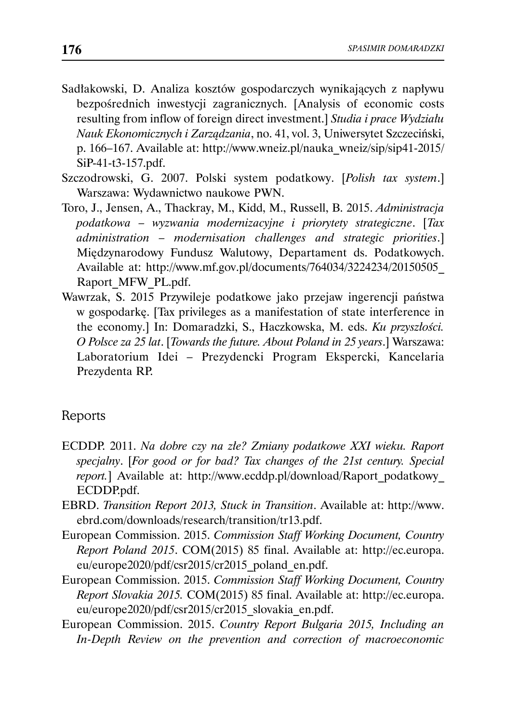- Sadłakowski, D. Analiza kosztów gospodarczych wynikających z napływu bezpośrednich inwestycji zagranicznych. [Analysis of economic costs resulting from inflow of foreign direct investment.] *Studia i prace Wydziału Nauk Ekonomicznych i Zarządzania*, no. 41, vol. 3, Uniwersytet Szczeciński, p. 166–167. Available at: http://www.wneiz.pl/nauka\_wneiz/sip/sip41-2015/ SiP-41-t3-157.pdf.
- Szczodrowski, G. 2007. Polski system podatkowy. [*Polish tax system*.] Warszawa: Wydawnictwo naukowe PWN.
- Toro, J., Jensen, A., Thackray, M., Kidd, M., Russell, B. 2015. *Administracja podatkowa – wyzwania modernizacyjne i priorytety strategiczne*. [*Tax administration – modernisation challenges and strategic priorities*.] Międzynarodowy Fundusz Walutowy, Departament ds. Podatkowych. Available at: http://www.mf.gov.pl/documents/764034/3224234/20150505\_ Raport\_MFW\_PL.pdf.
- Wawrzak, S. 2015 Przywileje podatkowe jako przejaw ingerencji państwa w gospodarkę. [Tax privileges as a manifestation of state interference in the economy.] In: Domaradzki, S., Haczkowska, M. eds. *Ku przyszłości. O Polsce za 25 lat*. [*Towards the future. About Poland in 25 years*.] Warszawa: Laboratorium Idei – Prezydencki Program Ekspercki, Kancelaria Prezydenta RP.

## Reports

- ECDDP. 2011. *Na dobre czy na złe? Zmiany podatkowe XXI wieku. Raport specjalny*. [*For good or for bad? Tax changes of the 21st century. Special report.*] Available at: http://www.ecddp.pl/download/Raport\_podatkowy\_ ECDDP.pdf.
- EBRD. *Transition Report 2013, Stuck in Transition*. Available at: http://www. ebrd.com/downloads/research/transition/tr13.pdf.
- European Commission. 2015. *Commission Staff Working Document, Country Report Poland 2015*. COM(2015) 85 final. Available at: http://ec.europa. eu/europe2020/pdf/csr2015/cr2015\_poland\_en.pdf.
- European Commission. 2015. *Commission Staff Working Document, Country Report Slovakia 2015.* COM(2015) 85 final. Available at: http://ec.europa. eu/europe2020/pdf/csr2015/cr2015\_slovakia\_en.pdf.
- European Commission. 2015. *Country Report Bulgaria 2015, Including an In-Depth Review on the prevention and correction of macroeconomic*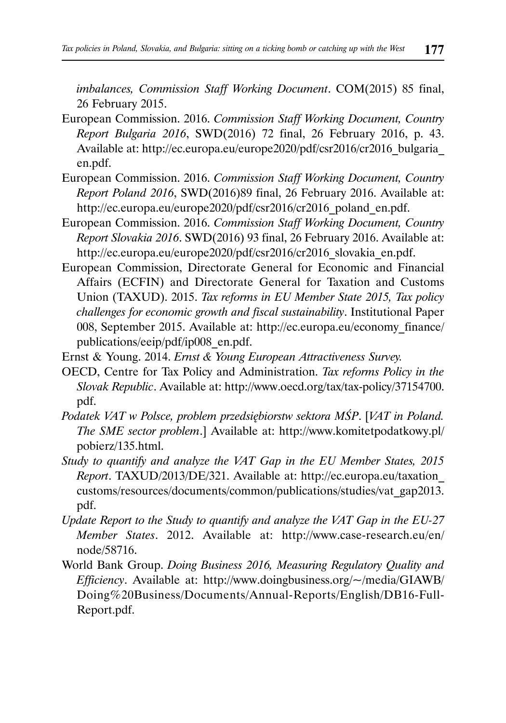*imbalances, Commission Staff Working Document*. COM(2015) 85 final, 26 February 2015.

- European Commission. 2016. *Commission Staff Working Document, Country Report Bulgaria 2016*, SWD(2016) 72 final, 26 February 2016, p. 43. Available at: http://ec.europa.eu/europe2020/pdf/csr2016/cr2016\_bulgaria en.pdf.
- European Commission. 2016. *Commission Staff Working Document, Country Report Poland 2016*, SWD(2016)89 final, 26 February 2016. Available at: http://ec.europa.eu/europe2020/pdf/csr2016/cr2016\_poland\_en.pdf.
- European Commission. 2016. *Commission Staff Working Document, Country Report Slovakia 2016*. SWD(2016) 93 final, 26 February 2016. Available at: http://ec.europa.eu/europe2020/pdf/csr2016/cr2016\_slovakia\_en.pdf.
- European Commission, Directorate General for Economic and Financial Affairs (ECFIN) and Directorate General for Taxation and Customs Union (TAXUD). 2015. *Tax reforms in EU Member State 2015, Tax policy challenges for economic growth and fiscal sustainability*. Institutional Paper 008, September 2015. Available at: http://ec.europa.eu/economy\_finance/ publications/eeip/pdf/ip008\_en.pdf.
- Ernst & Young. 2014. *Ernst & Young European Attractiveness Survey.*
- OECD, Centre for Tax Policy and Administration. *Tax reforms Policy in the Slovak Republic*. Available at: http://www.oecd.org/tax/tax-policy/37154700. pdf.
- *Podatek VAT w Polsce, problem przedsiębiorstw sektora MŚP*. [*VAT in Poland. The SME sector problem*.] Available at: http://www.komitetpodatkowy.pl/ pobierz/135.html.
- *Study to quantify and analyze the VAT Gap in the EU Member States, 2015 Report*. TAXUD/2013/DE/321. Available at: http://ec.europa.eu/taxation\_ customs/resources/documents/common/publications/studies/vat\_gap2013. pdf.
- *Update Report to the Study to quantify and analyze the VAT Gap in the EU-27 Member States*. 2012. Available at: http://www.case-research.eu/en/ node/58716.
- World Bank Group. *Doing Business 2016, Measuring Regulatory Quality and Efficiency*. Available at: http://www.doingbusiness.org/~/media/GIAWB/ Doing%20Business/Documents/Annual-Reports/English/DB16-Full-Report.pdf.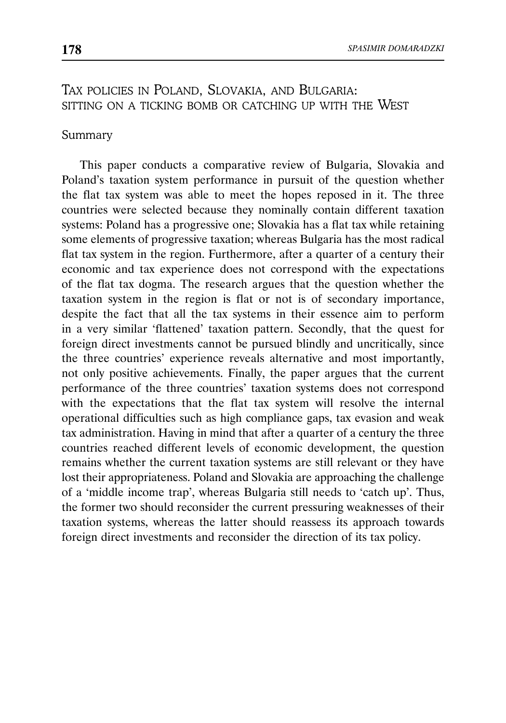# TAX POLICIES IN POLAND, SLOVAKIA, AND BULGARIA: SITTING ON A TICKING BOMB OR CATCHING UP WITH THE WEST

#### Summary

This paper conducts a comparative review of Bulgaria, Slovakia and Poland's taxation system performance in pursuit of the question whether the flat tax system was able to meet the hopes reposed in it. The three countries were selected because they nominally contain different taxation systems: Poland has a progressive one; Slovakia has a flat tax while retaining some elements of progressive taxation; whereas Bulgaria has the most radical flat tax system in the region. Furthermore, after a quarter of a century their economic and tax experience does not correspond with the expectations of the flat tax dogma. The research argues that the question whether the taxation system in the region is flat or not is of secondary importance, despite the fact that all the tax systems in their essence aim to perform in a very similar 'flattened' taxation pattern. Secondly, that the quest for foreign direct investments cannot be pursued blindly and uncritically, since the three countries' experience reveals alternative and most importantly, not only positive achievements. Finally, the paper argues that the current performance of the three countries' taxation systems does not correspond with the expectations that the flat tax system will resolve the internal operational difficulties such as high compliance gaps, tax evasion and weak tax administration. Having in mind that after a quarter of a century the three countries reached different levels of economic development, the question remains whether the current taxation systems are still relevant or they have lost their appropriateness. Poland and Slovakia are approaching the challenge of a 'middle income trap', whereas Bulgaria still needs to 'catch up'. Thus, the former two should reconsider the current pressuring weaknesses of their taxation systems, whereas the latter should reassess its approach towards foreign direct investments and reconsider the direction of its tax policy.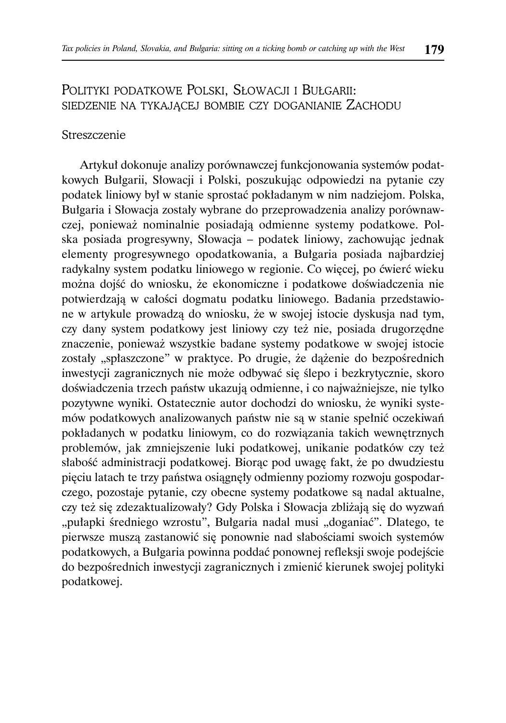# POLITYKI PODATKOWE POLSKI, SŁOWACJI I BUŁGARII: SIEDZENIE NA TYKAJĄCEJ BOMBIE CZY DOGANIANIE ZACHODU

#### Streszczenie

Artykuł dokonuje analizy porównawczej funkcjonowania systemów podatkowych Bułgarii, Słowacji i Polski, poszukując odpowiedzi na pytanie czy podatek liniowy był w stanie sprostać pokładanym w nim nadziejom. Polska, Bułgaria i Słowacja zostały wybrane do przeprowadzenia analizy porównawczej, ponieważ nominalnie posiadają odmienne systemy podatkowe. Polska posiada progresywny, Słowacja – podatek liniowy, zachowując jednak elementy progresywnego opodatkowania, a Bułgaria posiada najbardziej radykalny system podatku liniowego w regionie. Co więcej, po ćwierć wieku można dojść do wniosku, że ekonomiczne i podatkowe doświadczenia nie potwierdzają w całości dogmatu podatku liniowego. Badania przedstawione w artykule prowadzą do wniosku, że w swojej istocie dyskusja nad tym, czy dany system podatkowy jest liniowy czy też nie, posiada drugorzędne znaczenie, ponieważ wszystkie badane systemy podatkowe w swojej istocie zostały "spłaszczone" w praktyce. Po drugie, że dążenie do bezpośrednich inwestycji zagranicznych nie może odbywać się ślepo i bezkrytycznie, skoro doświadczenia trzech państw ukazują odmienne, i co najważniejsze, nie tylko pozytywne wyniki. Ostatecznie autor dochodzi do wniosku, że wyniki systemów podatkowych analizowanych państw nie są w stanie spełnić oczekiwań pokładanych w podatku liniowym, co do rozwiązania takich wewnętrznych problemów, jak zmniejszenie luki podatkowej, unikanie podatków czy też słabość administracji podatkowej. Biorąc pod uwagę fakt, że po dwudziestu pięciu latach te trzy państwa osiągnęły odmienny poziomy rozwoju gospodarczego, pozostaje pytanie, czy obecne systemy podatkowe są nadal aktualne, czy też się zdezaktualizowały? Gdy Polska i Słowacja zbliżają się do wyzwań "pułapki średniego wzrostu", Bułgaria nadal musi "doganiać". Dlatego, te pierwsze muszą zastanowić się ponownie nad słabościami swoich systemów podatkowych, a Bułgaria powinna poddać ponownej refleksji swoje podejście do bezpośrednich inwestycji zagranicznych i zmienić kierunek swojej polityki podatkowej.